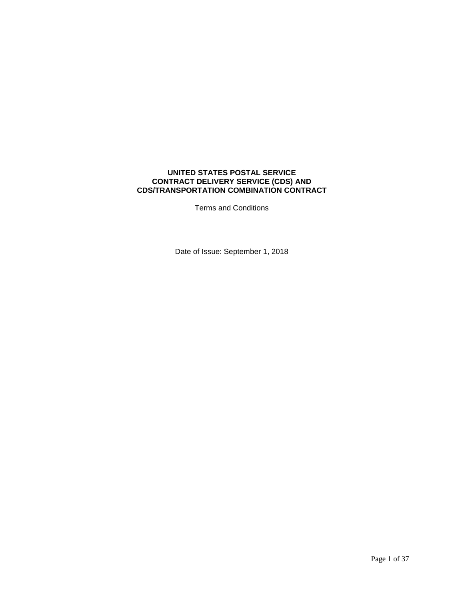## **UNITED STATES POSTAL SERVICE CONTRACT DELIVERY SERVICE (CDS) AND CDS/TRANSPORTATION COMBINATION CONTRACT**

Terms and Conditions

Date of Issue: September 1, 2018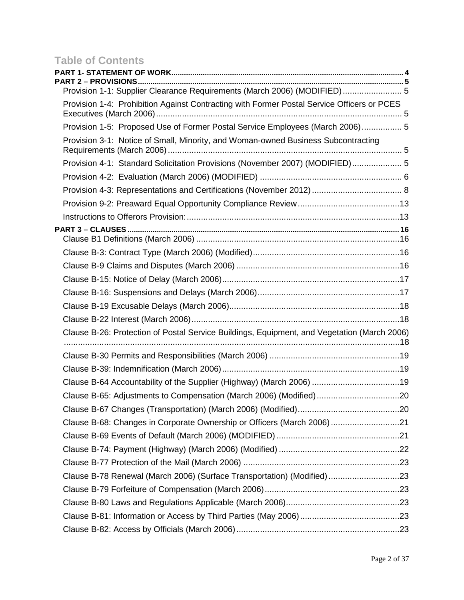# **Table of Contents**

| PART 2 – PROVISIONS.                                                                        |  |
|---------------------------------------------------------------------------------------------|--|
| Provision 1-1: Supplier Clearance Requirements (March 2006) (MODIFIED) 5                    |  |
| Provision 1-4: Prohibition Against Contracting with Former Postal Service Officers or PCES  |  |
| Provision 1-5: Proposed Use of Former Postal Service Employees (March 2006) 5               |  |
| Provision 3-1: Notice of Small, Minority, and Woman-owned Business Subcontracting           |  |
| Provision 4-1: Standard Solicitation Provisions (November 2007) (MODIFIED) 5                |  |
|                                                                                             |  |
|                                                                                             |  |
|                                                                                             |  |
|                                                                                             |  |
|                                                                                             |  |
|                                                                                             |  |
|                                                                                             |  |
|                                                                                             |  |
|                                                                                             |  |
|                                                                                             |  |
|                                                                                             |  |
| Clause B-26: Protection of Postal Service Buildings, Equipment, and Vegetation (March 2006) |  |
|                                                                                             |  |
|                                                                                             |  |
|                                                                                             |  |
| Clause B-64 Accountability of the Supplier (Highway) (March 2006) 19                        |  |
| Clause B-65: Adjustments to Compensation (March 2006) (Modified)20                          |  |
|                                                                                             |  |
| Clause B-68: Changes in Corporate Ownership or Officers (March 2006)21                      |  |
|                                                                                             |  |
|                                                                                             |  |
|                                                                                             |  |
| Clause B-78 Renewal (March 2006) (Surface Transportation) (Modified)23                      |  |
|                                                                                             |  |
|                                                                                             |  |
|                                                                                             |  |
|                                                                                             |  |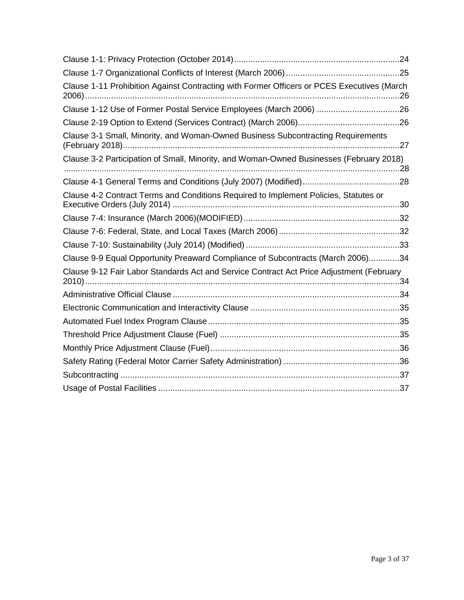| Clause 1-11 Prohibition Against Contracting with Former Officers or PCES Executives (March |  |
|--------------------------------------------------------------------------------------------|--|
| Clause 1-12 Use of Former Postal Service Employees (March 2006) 26                         |  |
|                                                                                            |  |
| Clause 3-1 Small, Minority, and Woman-Owned Business Subcontracting Requirements<br>.27    |  |
| Clause 3-2 Participation of Small, Minority, and Woman-Owned Businesses (February 2018)    |  |
|                                                                                            |  |
| Clause 4-2 Contract Terms and Conditions Required to Implement Policies, Statutes or       |  |
|                                                                                            |  |
|                                                                                            |  |
|                                                                                            |  |
| Clause 9-9 Equal Opportunity Preaward Compliance of Subcontracts (March 2006)34            |  |
| Clause 9-12 Fair Labor Standards Act and Service Contract Act Price Adjustment (February   |  |
|                                                                                            |  |
|                                                                                            |  |
|                                                                                            |  |
|                                                                                            |  |
|                                                                                            |  |
|                                                                                            |  |
|                                                                                            |  |
|                                                                                            |  |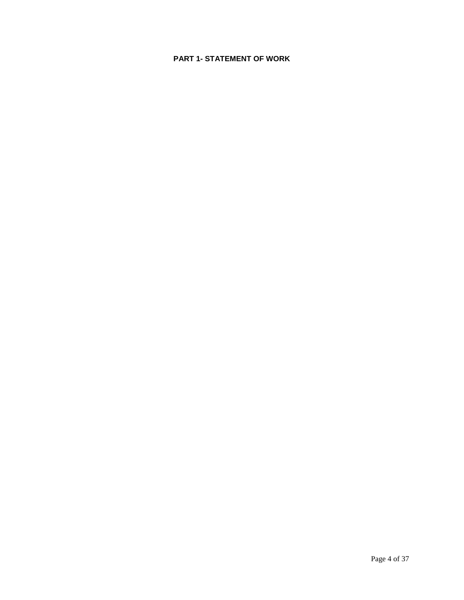## <span id="page-3-0"></span>**PART 1- STATEMENT OF WORK**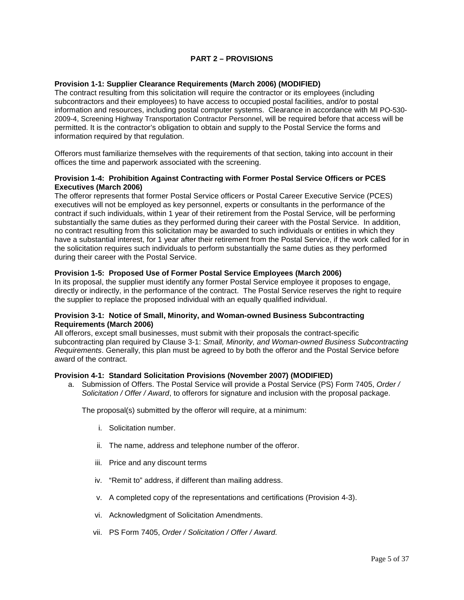## **PART 2 – PROVISIONS**

## <span id="page-4-1"></span><span id="page-4-0"></span>**[Provision 1-1: Supplier Clearance Requirements \(March 2006\)](http://blue.usps.gov/policy/clauses/provision.htm) (MODIFIED)**

The contract resulting from this solicitation will require the contractor or its employees (including subcontractors and their employees) to have access to occupied postal facilities, and/or to postal information and resources, including postal computer systems. Clearance in accordance with MI PO-530- 2009-4, Screening Highway Transportation Contractor Personnel, will be required before that access will be permitted. It is the contractor's obligation to obtain and supply to the Postal Service the forms and information required by that regulation.

Offerors must familiarize themselves with the requirements of that section, taking into account in their offices the time and paperwork associated with the screening.

#### <span id="page-4-2"></span>**Provision 1-4: Prohibition Against Contracting with Former Postal Service Officers or PCES Executives (March 2006)**

The offeror represents that former Postal Service officers or Postal Career Executive Service (PCES) executives will not be employed as key personnel, experts or consultants in the performance of the contract if such individuals, within 1 year of their retirement from the Postal Service, will be performing substantially the same duties as they performed during their career with the Postal Service. In addition, no contract resulting from this solicitation may be awarded to such individuals or entities in which they have a substantial interest, for 1 year after their retirement from the Postal Service, if the work called for in the solicitation requires such individuals to perform substantially the same duties as they performed during their career with the Postal Service.

#### <span id="page-4-3"></span>**Provision 1-5: Proposed Use of Former Postal Service Employees (March 2006)**

In its proposal, the supplier must identify any former Postal Service employee it proposes to engage, directly or indirectly, in the performance of the contract. The Postal Service reserves the right to require the supplier to replace the proposed individual with an equally qualified individual.

#### <span id="page-4-4"></span>**Provision 3-1: Notice of Small, Minority, and Woman-owned Business Subcontracting Requirements (March 2006)**

All offerors, except small businesses, must submit with their proposals the contract-specific subcontracting plan required by Clause 3-1: *Small, Minority, and Woman-owned Business Subcontracting Requirements*. Generally, this plan must be agreed to by both the offeror and the Postal Service before award of the contract.

#### <span id="page-4-5"></span>**Provision 4-1: Standard Solicitation Provisions (November 2007) (MODIFIED)**

a. Submission of Offers. The Postal Service will provide a Postal Service (PS) Form 7405, *Order / Solicitation / Offer / Award*, to offerors for signature and inclusion with the proposal package.

The proposal(s) submitted by the offeror will require, at a minimum:

- i. Solicitation number.
- ii. The name, address and telephone number of the offeror.
- iii. Price and any discount terms
- iv. "Remit to" address, if different than mailing address.
- v. A completed copy of the representations and certifications (Provision 4-3).
- vi. Acknowledgment of Solicitation Amendments.
- vii. PS Form 7405, *Order / Solicitation / Offer / Award.*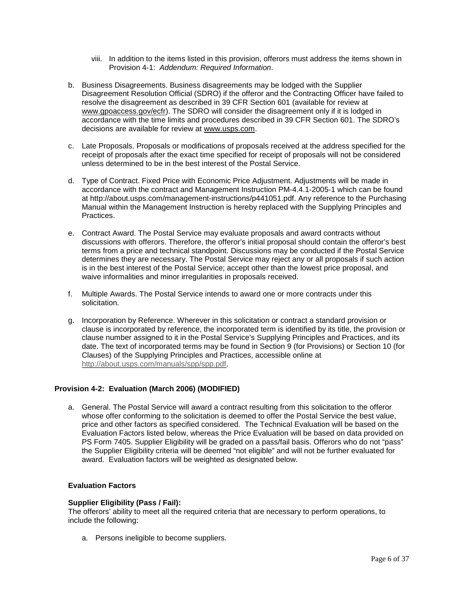- viii. In addition to the items listed in this provision, offerors must address the items shown in Provision 4-1: *Addendum: Required Information*.
- b. Business Disagreements. Business disagreements may be lodged with the Supplier Disagreement Resolution Official (SDRO) if the offeror and the Contracting Officer have failed to resolve the disagreement as described in 39 CFR Section 601 (available for review at www.gpoaccess.gov/ecfr). The SDRO will consider the disagreement only if it is lodged in accordance with the time limits and procedures described in 39 CFR Section 601. The SDRO's decisions are available for review at www.usps.com.
- c. Late Proposals. Proposals or modifications of proposals received at the address specified for the receipt of proposals after the exact time specified for receipt of proposals will not be considered unless determined to be in the best interest of the Postal Service.
- d. Type of Contract. Fixed Price with Economic Price Adjustment. Adjustments will be made in accordance with the contract and Management Instruction PM-4.4.1-2005-1 which can be found at http://about.usps.com/management-instructions/p441051.pdf. Any reference to the Purchasing Manual within the Management Instruction is hereby replaced with the Supplying Principles and Practices.
- e. Contract Award. The Postal Service may evaluate proposals and award contracts without discussions with offerors. Therefore, the offeror's initial proposal should contain the offeror's best terms from a price and technical standpoint. Discussions may be conducted if the Postal Service determines they are necessary. The Postal Service may reject any or all proposals if such action is in the best interest of the Postal Service; accept other than the lowest price proposal, and waive informalities and minor irregularities in proposals received.
- f. Multiple Awards. The Postal Service intends to award one or more contracts under this solicitation.
- g. Incorporation by Reference. Wherever in this solicitation or contract a standard provision or clause is incorporated by reference, the incorporated term is identified by its title, the provision or clause number assigned to it in the Postal Service's Supplying Principles and Practices, and its date. The text of incorporated terms may be found in Section 9 (for Provisions) or Section 10 (for Clauses) of the Supplying Principles and Practices, accessible online at [http://about.usps.com/manuals/spp/spp.pdf.](http://about.usps.com/manuals/spp/spp.pdf)

#### <span id="page-5-0"></span>**Provision 4-2: Evaluation (March 2006) (MODIFIED)**

a. General. The Postal Service will award a contract resulting from this solicitation to the offeror whose offer conforming to the solicitation is deemed to offer the Postal Service the best value, price and other factors as specified considered. The Technical Evaluation will be based on the Evaluation Factors listed below, whereas the Price Evaluation will be based on data provided on PS Form 7405. Supplier Eligibility will be graded on a pass/fail basis. Offerors who do not "pass" the Supplier Eligibility criteria will be deemed "not eligible" and will not be further evaluated for award. Evaluation factors will be weighted as designated below.

## **Evaluation Factors**

#### **Supplier Eligibility (Pass / Fail):**

The offerors' ability to meet all the required criteria that are necessary to perform operations, to include the following:

a. Persons ineligible to become suppliers.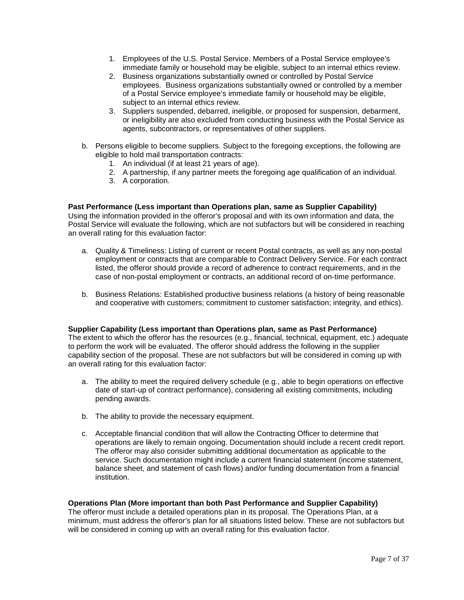- 1. Employees of the U.S. Postal Service. Members of a Postal Service employee's immediate family or household may be eligible, subject to an internal ethics review.
- 2. Business organizations substantially owned or controlled by Postal Service employees. Business organizations substantially owned or controlled by a member of a Postal Service employee's immediate family or household may be eligible, subject to an internal ethics review.
- 3. Suppliers suspended, debarred, ineligible, or proposed for suspension, debarment, or ineligibility are also excluded from conducting business with the Postal Service as agents, subcontractors, or representatives of other suppliers.
- b. Persons eligible to become suppliers. Subject to the foregoing exceptions, the following are eligible to hold mail transportation contracts:
	- 1. An individual (if at least 21 years of age).
	- 2. A partnership, if any partner meets the foregoing age qualification of an individual.
	- 3. A corporation.

## **Past Performance (Less important than Operations plan, same as Supplier Capability)**

Using the information provided in the offeror's proposal and with its own information and data, the Postal Service will evaluate the following, which are not subfactors but will be considered in reaching an overall rating for this evaluation factor:

- a. Quality & Timeliness: Listing of current or recent Postal contracts, as well as any non-postal employment or contracts that are comparable to Contract Delivery Service. For each contract listed, the offeror should provide a record of adherence to contract requirements, and in the case of non-postal employment or contracts, an additional record of on-time performance.
- b. Business Relations: Established productive business relations (a history of being reasonable and cooperative with customers; commitment to customer satisfaction; integrity, and ethics).

#### **Supplier Capability (Less important than Operations plan, same as Past Performance)**

The extent to which the offeror has the resources (e.g., financial, technical, equipment, etc.) adequate to perform the work will be evaluated. The offeror should address the following in the supplier capability section of the proposal. These are not subfactors but will be considered in coming up with an overall rating for this evaluation factor:

- a. The ability to meet the required delivery schedule (e.g., able to begin operations on effective date of start-up of contract performance), considering all existing commitments, including pending awards.
- b. The ability to provide the necessary equipment.
- c. Acceptable financial condition that will allow the Contracting Officer to determine that operations are likely to remain ongoing. Documentation should include a recent credit report. The offeror may also consider submitting additional documentation as applicable to the service. Such documentation might include a current financial statement (income statement, balance sheet, and statement of cash flows) and/or funding documentation from a financial institution.

#### **Operations Plan (More important than both Past Performance and Supplier Capability)**

The offeror must include a detailed operations plan in its proposal. The Operations Plan, at a minimum, must address the offeror's plan for all situations listed below. These are not subfactors but will be considered in coming up with an overall rating for this evaluation factor.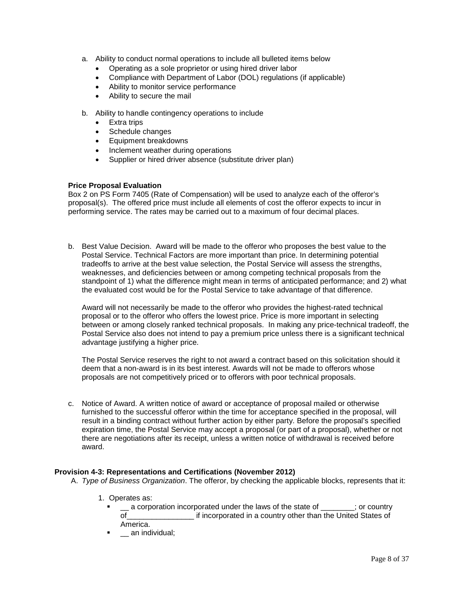- a. Ability to conduct normal operations to include all bulleted items below
	- Operating as a sole proprietor or using hired driver labor
	- Compliance with Department of Labor (DOL) regulations (if applicable)
	- Ability to monitor service performance
	- Ability to secure the mail
- b. Ability to handle contingency operations to include
	- Extra trips
	- Schedule changes
	- Equipment breakdowns
	- Inclement weather during operations
	- Supplier or hired driver absence (substitute driver plan)

#### **Price Proposal Evaluation**

Box 2 on PS Form 7405 (Rate of Compensation) will be used to analyze each of the offeror's proposal(s). The offered price must include all elements of cost the offeror expects to incur in performing service. The rates may be carried out to a maximum of four decimal places.

b. Best Value Decision. Award will be made to the offeror who proposes the best value to the Postal Service. Technical Factors are more important than price. In determining potential tradeoffs to arrive at the best value selection, the Postal Service will assess the strengths, weaknesses, and deficiencies between or among competing technical proposals from the standpoint of 1) what the difference might mean in terms of anticipated performance; and 2) what the evaluated cost would be for the Postal Service to take advantage of that difference.

Award will not necessarily be made to the offeror who provides the highest-rated technical proposal or to the offeror who offers the lowest price. Price is more important in selecting between or among closely ranked technical proposals. In making any price-technical tradeoff, the Postal Service also does not intend to pay a premium price unless there is a significant technical advantage justifying a higher price.

The Postal Service reserves the right to not award a contract based on this solicitation should it deem that a non-award is in its best interest. Awards will not be made to offerors whose proposals are not competitively priced or to offerors with poor technical proposals.

c. Notice of Award. A written notice of award or acceptance of proposal mailed or otherwise furnished to the successful offeror within the time for acceptance specified in the proposal, will result in a binding contract without further action by either party. Before the proposal's specified expiration time, the Postal Service may accept a proposal (or part of a proposal), whether or not there are negotiations after its receipt, unless a written notice of withdrawal is received before award.

#### <span id="page-7-0"></span>**[Provision 4-3: Representations and Certifications \(November 2012\)](http://blue.usps.gov/policy/clauses/provision.htm)**

- A. *Type of Business Organization*. The offeror, by checking the applicable blocks, represents that it:
	- 1. Operates as:
		- a corporation incorporated under the laws of the state of \_\_\_\_\_\_; or country<br>of incorporated in a country other than the United States of if incorporated in a country other than the United States of America.
		- **TEC** an individual;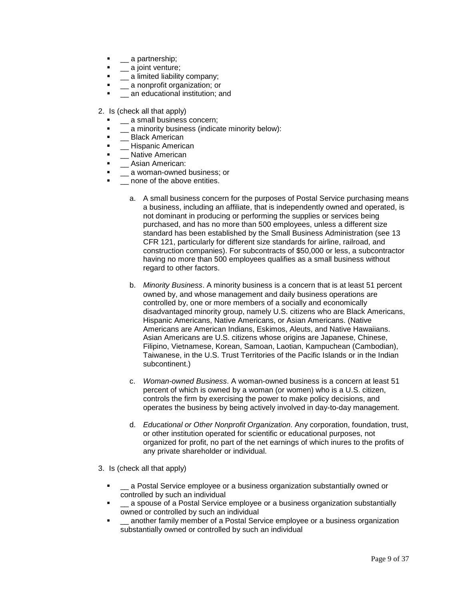- **.** \_\_ a partnership;
- $\blacksquare$  a joint venture;
- \_\_ a limited liability company;
- **.** \_\_ a nonprofit organization; or
- **The annuminal institution; and**
- 2. Is (check all that apply)
	- \_\_ a small business concern;
	- \_\_ a minority business (indicate minority below):
	- Black American
	- \_\_ Hispanic American
	- **-** Native American
	- **Asian American:**
	- \_\_ a woman-owned business; or
	- \_\_ none of the above entities.
		- a. A small business concern for the purposes of Postal Service purchasing means a business, including an affiliate, that is independently owned and operated, is not dominant in producing or performing the supplies or services being purchased, and has no more than 500 employees, unless a different size standard has been established by the Small Business Administration (see 13 CFR 121, particularly for different size standards for airline, railroad, and construction companies). For subcontracts of \$50,000 or less, a subcontractor having no more than 500 employees qualifies as a small business without regard to other factors.
		- b. *Minority Business*. A minority business is a concern that is at least 51 percent owned by, and whose management and daily business operations are controlled by, one or more members of a socially and economically disadvantaged minority group, namely U.S. citizens who are Black Americans, Hispanic Americans, Native Americans, or Asian Americans. (Native Americans are American Indians, Eskimos, Aleuts, and Native Hawaiians. Asian Americans are U.S. citizens whose origins are Japanese, Chinese, Filipino, Vietnamese, Korean, Samoan, Laotian, Kampuchean (Cambodian), Taiwanese, in the U.S. Trust Territories of the Pacific Islands or in the Indian subcontinent.)
		- c. *Woman-owned Business*. A woman-owned business is a concern at least 51 percent of which is owned by a woman (or women) who is a U.S. citizen, controls the firm by exercising the power to make policy decisions, and operates the business by being actively involved in day-to-day management.
		- d. *Educational or Other Nonprofit Organization*. Any corporation, foundation, trust, or other institution operated for scientific or educational purposes, not organized for profit, no part of the net earnings of which inures to the profits of any private shareholder or individual.
- 3. Is (check all that apply)
	- \_\_ a Postal Service employee or a business organization substantially owned or controlled by such an individual
	- **EXECT** a spouse of a Postal Service employee or a business organization substantially owned or controlled by such an individual
	- **The another family member of a Postal Service employee or a business organization** substantially owned or controlled by such an individual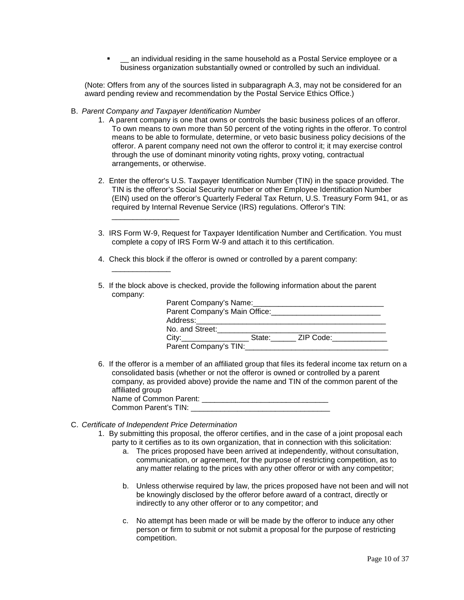<sup>-</sup> \_\_ an individual residing in the same household as a Postal Service employee or a business organization substantially owned or controlled by such an individual.

(Note: Offers from any of the sources listed in subparagraph A.3, may not be considered for an award pending review and recommendation by the Postal Service Ethics Office.)

B. *Parent Company and Taxpayer Identification Number*

\_\_\_\_\_\_\_\_\_\_\_\_\_\_\_\_

\_\_\_\_\_\_\_\_\_\_\_\_\_\_

- 1. A parent company is one that owns or controls the basic business polices of an offeror. To own means to own more than 50 percent of the voting rights in the offeror. To control means to be able to formulate, determine, or veto basic business policy decisions of the offeror. A parent company need not own the offeror to control it; it may exercise control through the use of dominant minority voting rights, proxy voting, contractual arrangements, or otherwise.
- 2. Enter the offeror's U.S. Taxpayer Identification Number (TIN) in the space provided. The TIN is the offeror's Social Security number or other Employee Identification Number (EIN) used on the offeror's Quarterly Federal Tax Return, U.S. Treasury Form 941, or as required by Internal Revenue Service (IRS) regulations. Offeror's TIN:
- 3. IRS Form W-9, Request for Taxpayer Identification Number and Certification. You must complete a copy of IRS Form W-9 and attach it to this certification.
- 4. Check this block if the offeror is owned or controlled by a parent company:
- 5. If the block above is checked, provide the following information about the parent company:

| Parent Company's Name:                                                                                                                                                                                                         |        |           |
|--------------------------------------------------------------------------------------------------------------------------------------------------------------------------------------------------------------------------------|--------|-----------|
| Parent Company's Main Office:                                                                                                                                                                                                  |        |           |
| Address: ________________________                                                                                                                                                                                              |        |           |
| No. and Street:                                                                                                                                                                                                                |        |           |
| City: the contract of the contract of the contract of the contract of the contract of the contract of the contract of the contract of the contract of the contract of the contract of the contract of the contract of the cont | State: | ZIP Code: |
| Parent Company's TIN:                                                                                                                                                                                                          |        |           |

- 6. If the offeror is a member of an affiliated group that files its federal income tax return on a consolidated basis (whether or not the offeror is owned or controlled by a parent company, as provided above) provide the name and TIN of the common parent of the affiliated group Name of Common Parent: \_\_\_\_\_\_\_\_\_\_\_\_\_\_\_\_\_\_\_\_\_\_\_\_\_\_\_\_\_\_ Common Parent's TIN:
- C. *Certificate of Independent Price Determination*
	- 1. By submitting this proposal, the offeror certifies, and in the case of a joint proposal each party to it certifies as to its own organization, that in connection with this solicitation:
		- a. The prices proposed have been arrived at independently, without consultation, communication, or agreement, for the purpose of restricting competition, as to any matter relating to the prices with any other offeror or with any competitor;
		- b. Unless otherwise required by law, the prices proposed have not been and will not be knowingly disclosed by the offeror before award of a contract, directly or indirectly to any other offeror or to any competitor; and
		- c. No attempt has been made or will be made by the offeror to induce any other person or firm to submit or not submit a proposal for the purpose of restricting competition.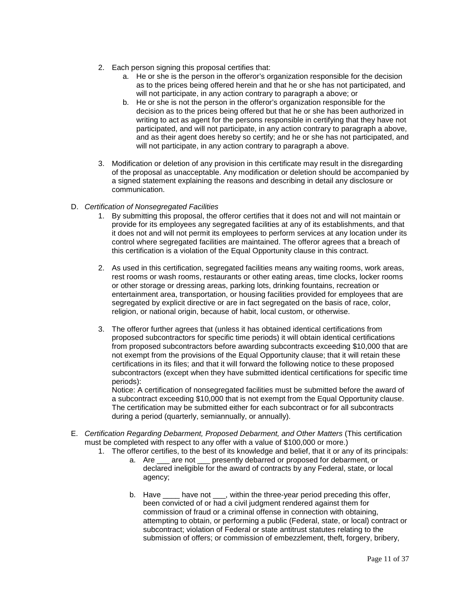- 2. Each person signing this proposal certifies that:
	- a. He or she is the person in the offeror's organization responsible for the decision as to the prices being offered herein and that he or she has not participated, and will not participate, in any action contrary to paragraph a above; or
	- b. He or she is not the person in the offeror's organization responsible for the decision as to the prices being offered but that he or she has been authorized in writing to act as agent for the persons responsible in certifying that they have not participated, and will not participate, in any action contrary to paragraph a above, and as their agent does hereby so certify; and he or she has not participated, and will not participate, in any action contrary to paragraph a above.
- 3. Modification or deletion of any provision in this certificate may result in the disregarding of the proposal as unacceptable. Any modification or deletion should be accompanied by a signed statement explaining the reasons and describing in detail any disclosure or communication.
- D. *Certification of Nonsegregated Facilities*
	- 1. By submitting this proposal, the offeror certifies that it does not and will not maintain or provide for its employees any segregated facilities at any of its establishments, and that it does not and will not permit its employees to perform services at any location under its control where segregated facilities are maintained. The offeror agrees that a breach of this certification is a violation of the Equal Opportunity clause in this contract.
	- 2. As used in this certification, segregated facilities means any waiting rooms, work areas, rest rooms or wash rooms, restaurants or other eating areas, time clocks, locker rooms or other storage or dressing areas, parking lots, drinking fountains, recreation or entertainment area, transportation, or housing facilities provided for employees that are segregated by explicit directive or are in fact segregated on the basis of race, color, religion, or national origin, because of habit, local custom, or otherwise.
	- 3. The offeror further agrees that (unless it has obtained identical certifications from proposed subcontractors for specific time periods) it will obtain identical certifications from proposed subcontractors before awarding subcontracts exceeding \$10,000 that are not exempt from the provisions of the Equal Opportunity clause; that it will retain these certifications in its files; and that it will forward the following notice to these proposed subcontractors (except when they have submitted identical certifications for specific time periods):

Notice: A certification of nonsegregated facilities must be submitted before the award of a subcontract exceeding \$10,000 that is not exempt from the Equal Opportunity clause. The certification may be submitted either for each subcontract or for all subcontracts during a period (quarterly, semiannually, or annually).

- E. *Certification Regarding Debarment, Proposed Debarment, and Other Matters* (This certification must be completed with respect to any offer with a value of \$100,000 or more.)
	- 1. The offeror certifies, to the best of its knowledge and belief, that it or any of its principals:
		- a. Are \_\_\_ are not \_\_\_ presently debarred or proposed for debarment, or declared ineligible for the award of contracts by any Federal, state, or local agency;
		- b. Have \_\_\_\_ have not \_\_\_, within the three-year period preceding this offer, been convicted of or had a civil judgment rendered against them for commission of fraud or a criminal offense in connection with obtaining, attempting to obtain, or performing a public (Federal, state, or local) contract or subcontract; violation of Federal or state antitrust statutes relating to the submission of offers; or commission of embezzlement, theft, forgery, bribery,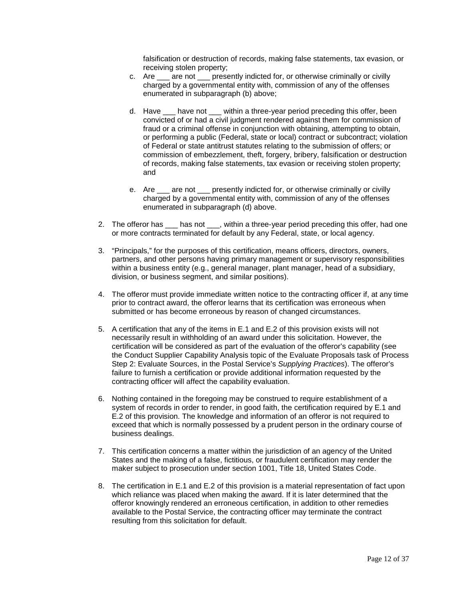falsification or destruction of records, making false statements, tax evasion, or receiving stolen property;

- c. Are \_\_\_ are not \_\_\_ presently indicted for, or otherwise criminally or civilly charged by a governmental entity with, commission of any of the offenses enumerated in subparagraph (b) above;
- d. Have \_\_\_ have not \_\_\_ within a three-year period preceding this offer, been convicted of or had a civil judgment rendered against them for commission of fraud or a criminal offense in conjunction with obtaining, attempting to obtain, or performing a public (Federal, state or local) contract or subcontract; violation of Federal or state antitrust statutes relating to the submission of offers; or commission of embezzlement, theft, forgery, bribery, falsification or destruction of records, making false statements, tax evasion or receiving stolen property; and
- e. Are are not presently indicted for, or otherwise criminally or civilly charged by a governmental entity with, commission of any of the offenses enumerated in subparagraph (d) above.
- 2. The offeror has \_\_\_ has not \_\_\_, within a three-year period preceding this offer, had one or more contracts terminated for default by any Federal, state, or local agency.
- 3. "Principals," for the purposes of this certification, means officers, directors, owners, partners, and other persons having primary management or supervisory responsibilities within a business entity (e.g., general manager, plant manager, head of a subsidiary, division, or business segment, and similar positions).
- 4. The offeror must provide immediate written notice to the contracting officer if, at any time prior to contract award, the offeror learns that its certification was erroneous when submitted or has become erroneous by reason of changed circumstances.
- 5. A certification that any of the items in E.1 and E.2 of this provision exists will not necessarily result in withholding of an award under this solicitation. However, the certification will be considered as part of the evaluation of the offeror's capability (see the Conduct Supplier Capability Analysis topic of the Evaluate Proposals task of Process Step 2: Evaluate Sources, in the Postal Service's *Supplying Practices*). The offeror's failure to furnish a certification or provide additional information requested by the contracting officer will affect the capability evaluation.
- 6. Nothing contained in the foregoing may be construed to require establishment of a system of records in order to render, in good faith, the certification required by E.1 and E.2 of this provision. The knowledge and information of an offeror is not required to exceed that which is normally possessed by a prudent person in the ordinary course of business dealings.
- 7. This certification concerns a matter within the jurisdiction of an agency of the United States and the making of a false, fictitious, or fraudulent certification may render the maker subject to prosecution under section 1001, Title 18, United States Code.
- 8. The certification in E.1 and E.2 of this provision is a material representation of fact upon which reliance was placed when making the award. If it is later determined that the offeror knowingly rendered an erroneous certification, in addition to other remedies available to the Postal Service, the contracting officer may terminate the contract resulting from this solicitation for default.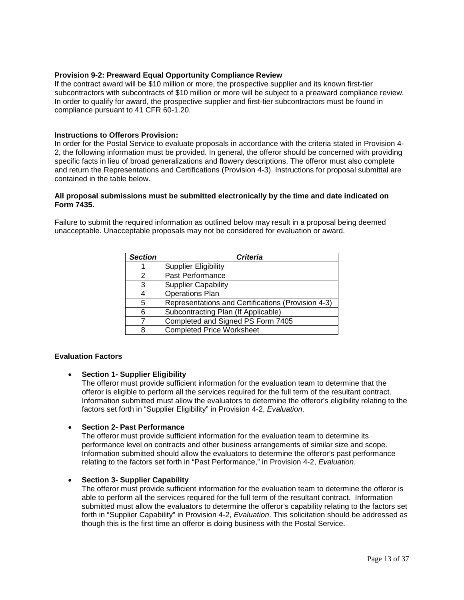## <span id="page-12-0"></span>**Provision 9-2: Preaward Equal Opportunity Compliance Review**

If the contract award will be \$10 million or more, the prospective supplier and its known first-tier subcontractors with subcontracts of \$10 million or more will be subject to a preaward compliance review. In order to qualify for award, the prospective supplier and first-tier subcontractors must be found in compliance pursuant to 41 CFR 60-1.20.

#### <span id="page-12-1"></span>**Instructions to Offerors Provision:**

In order for the Postal Service to evaluate proposals in accordance with the criteria stated in Provision 4- 2, the following information must be provided. In general, the offeror should be concerned with providing specific facts in lieu of broad generalizations and flowery descriptions. The offeror must also complete and return the Representations and Certifications (Provision 4-3). Instructions for proposal submittal are contained in the table below.

#### **All proposal submissions must be submitted electronically by the time and date indicated on Form 7435.**

Failure to submit the required information as outlined below may result in a proposal being deemed unacceptable. Unacceptable proposals may not be considered for evaluation or award.

| <b>Section</b> | <b>Criteria</b>                                    |  |  |  |
|----------------|----------------------------------------------------|--|--|--|
|                | <b>Supplier Eligibility</b>                        |  |  |  |
| 2              | Past Performance                                   |  |  |  |
| 3              | <b>Supplier Capability</b>                         |  |  |  |
| 4              | <b>Operations Plan</b>                             |  |  |  |
| 5              | Representations and Certifications (Provision 4-3) |  |  |  |
| 6              | Subcontracting Plan (If Applicable)                |  |  |  |
|                | Completed and Signed PS Form 7405                  |  |  |  |
| 8              | <b>Completed Price Worksheet</b>                   |  |  |  |

#### **Evaluation Factors**

• **Section 1- Supplier Eligibility**

The offeror must provide sufficient information for the evaluation team to determine that the offeror is eligible to perform all the services required for the full term of the resultant contract. Information submitted must allow the evaluators to determine the offeror's eligibility relating to the factors set forth in "Supplier Eligibility" in Provision 4-2, *Evaluation*.

#### • **Section 2- Past Performance**

The offeror must provide sufficient information for the evaluation team to determine its performance level on contracts and other business arrangements of similar size and scope. Information submitted should allow the evaluators to determine the offeror's past performance relating to the factors set forth in "Past Performance," in Provision 4-2, *Evaluation*.

#### • **Section 3- Supplier Capability**

The offeror must provide sufficient information for the evaluation team to determine the offeror is able to perform all the services required for the full term of the resultant contract. Information submitted must allow the evaluators to determine the offeror's capability relating to the factors set forth in "Supplier Capability" in Provision 4-2, *Evaluation*. This solicitation should be addressed as though this is the first time an offeror is doing business with the Postal Service.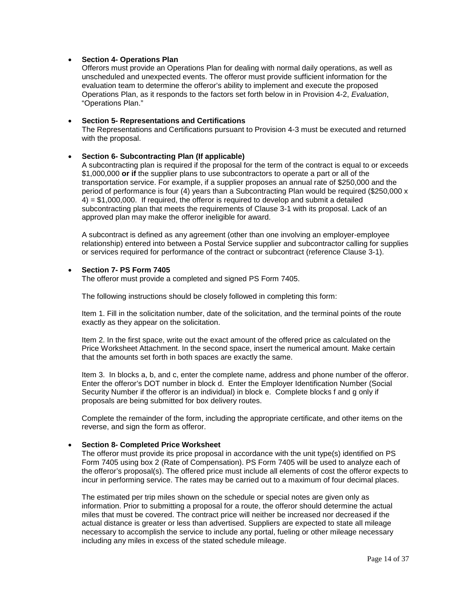#### • **Section 4- Operations Plan**

Offerors must provide an Operations Plan for dealing with normal daily operations, as well as unscheduled and unexpected events. The offeror must provide sufficient information for the evaluation team to determine the offeror's ability to implement and execute the proposed Operations Plan, as it responds to the factors set forth below in in Provision 4-2, *Evaluation*, "Operations Plan."

#### • **Section 5- Representations and Certifications**

The Representations and Certifications pursuant to Provision 4-3 must be executed and returned with the proposal.

#### • **Section 6- Subcontracting Plan (If applicable)**

A subcontracting plan is required if the proposal for the term of the contract is equal to or exceeds \$1,000,000 **or if** the supplier plans to use subcontractors to operate a part or all of the transportation service. For example, if a supplier proposes an annual rate of \$250,000 and the period of performance is four (4) years than a Subcontracting Plan would be required (\$250,000 x 4) = \$1,000,000. If required, the offeror is required to develop and submit a detailed subcontracting plan that meets the requirements of Clause 3-1 with its proposal. Lack of an approved plan may make the offeror ineligible for award.

A subcontract is defined as any agreement (other than one involving an employer-employee relationship) entered into between a Postal Service supplier and subcontractor calling for supplies or services required for performance of the contract or subcontract (reference Clause 3-1).

#### • **Section 7- PS Form 7405**

The offeror must provide a completed and signed PS Form 7405.

The following instructions should be closely followed in completing this form:

Item 1. Fill in the solicitation number, date of the solicitation, and the terminal points of the route exactly as they appear on the solicitation.

Item 2. In the first space, write out the exact amount of the offered price as calculated on the Price Worksheet Attachment. In the second space, insert the numerical amount. Make certain that the amounts set forth in both spaces are exactly the same.

Item 3. In blocks a, b, and c, enter the complete name, address and phone number of the offeror. Enter the offeror's DOT number in block d. Enter the Employer Identification Number (Social Security Number if the offeror is an individual) in block e. Complete blocks f and g only if proposals are being submitted for box delivery routes.

Complete the remainder of the form, including the appropriate certificate, and other items on the reverse, and sign the form as offeror.

#### • **Section 8- Completed Price Worksheet**

The offeror must provide its price proposal in accordance with the unit type(s) identified on PS Form 7405 using box 2 (Rate of Compensation). PS Form 7405 will be used to analyze each of the offeror's proposal(s). The offered price must include all elements of cost the offeror expects to incur in performing service. The rates may be carried out to a maximum of four decimal places.

The estimated per trip miles shown on the schedule or special notes are given only as information. Prior to submitting a proposal for a route, the offeror should determine the actual miles that must be covered. The contract price will neither be increased nor decreased if the actual distance is greater or less than advertised. Suppliers are expected to state all mileage necessary to accomplish the service to include any portal, fueling or other mileage necessary including any miles in excess of the stated schedule mileage.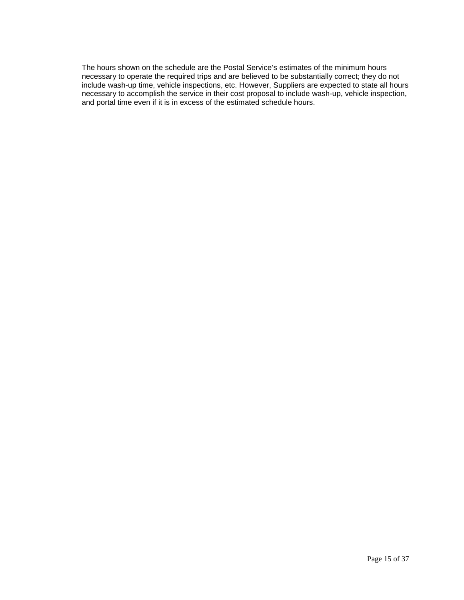The hours shown on the schedule are the Postal Service's estimates of the minimum hours necessary to operate the required trips and are believed to be substantially correct; they do not include wash-up time, vehicle inspections, etc. However, Suppliers are expected to state all hours necessary to accomplish the service in their cost proposal to include wash-up, vehicle inspection, and portal time even if it is in excess of the estimated schedule hours.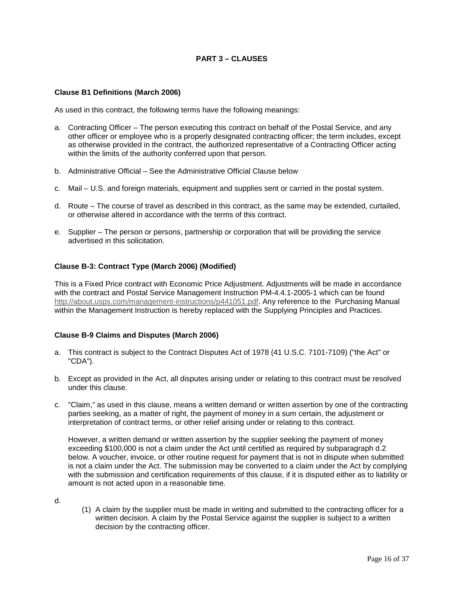## **PART 3 – CLAUSES**

#### <span id="page-15-1"></span><span id="page-15-0"></span>**Clause B1 Definitions (March 2006)**

As used in this contract, the following terms have the following meanings:

- a. Contracting Officer The person executing this contract on behalf of the Postal Service, and any other officer or employee who is a properly designated contracting officer; the term includes, except as otherwise provided in the contract, the authorized representative of a Contracting Officer acting within the limits of the authority conferred upon that person.
- b. Administrative Official See the Administrative Official Clause below
- c. Mail U.S. and foreign materials, equipment and supplies sent or carried in the postal system.
- d. Route The course of travel as described in this contract, as the same may be extended, curtailed, or otherwise altered in accordance with the terms of this contract.
- e. Supplier The person or persons, partnership or corporation that will be providing the service advertised in this solicitation.

## <span id="page-15-2"></span>**Clause B-3: Contract Type (March 2006) (Modified)**

This is a Fixed Price contract with Economic Price Adjustment. Adjustments will be made in accordance with the contract and Postal Service Management Instruction PM-4.4.1-2005-1 which can be found [http://about.usps.com/management-instructions/p441051.pdf.](http://about.usps.com/management-instructions/p441051.pdf) Any reference to the Purchasing Manual within the Management Instruction is hereby replaced with the Supplying Principles and Practices.

#### <span id="page-15-3"></span>**Clause B-9 Claims and Disputes (March 2006)**

- a. This contract is subject to the Contract Disputes Act of 1978 (41 U.S.C. 7101-7109) ("the Act" or "CDA").
- b. Except as provided in the Act, all disputes arising under or relating to this contract must be resolved under this clause.
- c. "Claim," as used in this clause, means a written demand or written assertion by one of the contracting parties seeking, as a matter of right, the payment of money in a sum certain, the adjustment or interpretation of contract terms, or other relief arising under or relating to this contract.

However, a written demand or written assertion by the supplier seeking the payment of money exceeding \$100,000 is not a claim under the Act until certified as required by subparagraph d.2 below. A voucher, invoice, or other routine request for payment that is not in dispute when submitted is not a claim under the Act. The submission may be converted to a claim under the Act by complying with the submission and certification requirements of this clause, if it is disputed either as to liability or amount is not acted upon in a reasonable time.

d.

(1) A claim by the supplier must be made in writing and submitted to the contracting officer for a written decision. A claim by the Postal Service against the supplier is subject to a written decision by the contracting officer.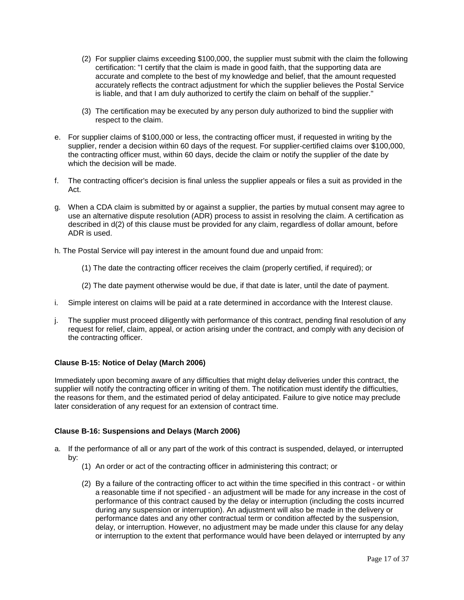- (2) For supplier claims exceeding \$100,000, the supplier must submit with the claim the following certification: "I certify that the claim is made in good faith, that the supporting data are accurate and complete to the best of my knowledge and belief, that the amount requested accurately reflects the contract adjustment for which the supplier believes the Postal Service is liable, and that I am duly authorized to certify the claim on behalf of the supplier."
- (3) The certification may be executed by any person duly authorized to bind the supplier with respect to the claim.
- e. For supplier claims of \$100,000 or less, the contracting officer must, if requested in writing by the supplier, render a decision within 60 days of the request. For supplier-certified claims over \$100,000, the contracting officer must, within 60 days, decide the claim or notify the supplier of the date by which the decision will be made.
- f. The contracting officer's decision is final unless the supplier appeals or files a suit as provided in the Act.
- g. When a CDA claim is submitted by or against a supplier, the parties by mutual consent may agree to use an alternative dispute resolution (ADR) process to assist in resolving the claim. A certification as described in d(2) of this clause must be provided for any claim, regardless of dollar amount, before ADR is used.
- h. The Postal Service will pay interest in the amount found due and unpaid from:
	- (1) The date the contracting officer receives the claim (properly certified, if required); or
	- (2) The date payment otherwise would be due, if that date is later, until the date of payment.
- i. Simple interest on claims will be paid at a rate determined in accordance with the Interest clause.
- j. The supplier must proceed diligently with performance of this contract, pending final resolution of any request for relief, claim, appeal, or action arising under the contract, and comply with any decision of the contracting officer.

#### <span id="page-16-0"></span>**Clause [B-15: Notice of Delay](http://blue.usps.gov/policy/clauses/clauses.htm) (March 2006)**

Immediately upon becoming aware of any difficulties that might delay deliveries under this contract, the supplier will notify the contracting officer in writing of them. The notification must identify the difficulties, the reasons for them, and the estimated period of delay anticipated. Failure to give notice may preclude later consideration of any request for an extension of contract time.

#### <span id="page-16-1"></span>**Clause B-16: Suspensions and Delays (March 2006)**

- a. If the performance of all or any part of the work of this contract is suspended, delayed, or interrupted by:
	- (1) An order or act of the contracting officer in administering this contract; or
	- (2) By a failure of the contracting officer to act within the time specified in this contract or within a reasonable time if not specified - an adjustment will be made for any increase in the cost of performance of this contract caused by the delay or interruption (including the costs incurred during any suspension or interruption). An adjustment will also be made in the delivery or performance dates and any other contractual term or condition affected by the suspension, delay, or interruption. However, no adjustment may be made under this clause for any delay or interruption to the extent that performance would have been delayed or interrupted by any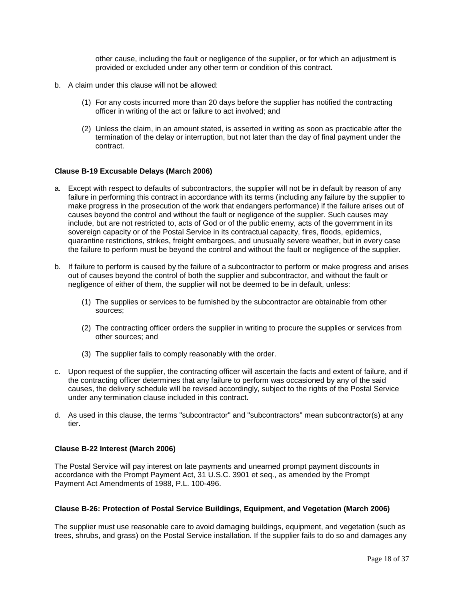other cause, including the fault or negligence of the supplier, or for which an adjustment is provided or excluded under any other term or condition of this contract.

- b. A claim under this clause will not be allowed:
	- (1) For any costs incurred more than 20 days before the supplier has notified the contracting officer in writing of the act or failure to act involved; and
	- (2) Unless the claim, in an amount stated, is asserted in writing as soon as practicable after the termination of the delay or interruption, but not later than the day of final payment under the contract.

#### <span id="page-17-0"></span>**Clause B-19 Excusable Delays (March 2006)**

- a. Except with respect to defaults of subcontractors, the supplier will not be in default by reason of any failure in performing this contract in accordance with its terms (including any failure by the supplier to make progress in the prosecution of the work that endangers performance) if the failure arises out of causes beyond the control and without the fault or negligence of the supplier. Such causes may include, but are not restricted to, acts of God or of the public enemy, acts of the government in its sovereign capacity or of the Postal Service in its contractual capacity, fires, floods, epidemics, quarantine restrictions, strikes, freight embargoes, and unusually severe weather, but in every case the failure to perform must be beyond the control and without the fault or negligence of the supplier.
- b. If failure to perform is caused by the failure of a subcontractor to perform or make progress and arises out of causes beyond the control of both the supplier and subcontractor, and without the fault or negligence of either of them, the supplier will not be deemed to be in default, unless:
	- (1) The supplies or services to be furnished by the subcontractor are obtainable from other sources;
	- (2) The contracting officer orders the supplier in writing to procure the supplies or services from other sources; and
	- (3) The supplier fails to comply reasonably with the order.
- c. Upon request of the supplier, the contracting officer will ascertain the facts and extent of failure, and if the contracting officer determines that any failure to perform was occasioned by any of the said causes, the delivery schedule will be revised accordingly, subject to the rights of the Postal Service under any termination clause included in this contract.
- d. As used in this clause, the terms "subcontractor" and "subcontractors" mean subcontractor(s) at any tier.

#### <span id="page-17-1"></span>**Clause B-22 Interest (March 2006)**

The Postal Service will pay interest on late payments and unearned prompt payment discounts in accordance with the Prompt Payment Act, 31 U.S.C. 3901 et seq., as amended by the Prompt Payment Act Amendments of 1988, P.L. 100-496.

#### <span id="page-17-2"></span>**Clause B-26: Protection of Postal Service Buildings, Equipment, and Vegetation (March 2006)**

The supplier must use reasonable care to avoid damaging buildings, equipment, and vegetation (such as trees, shrubs, and grass) on the Postal Service installation. If the supplier fails to do so and damages any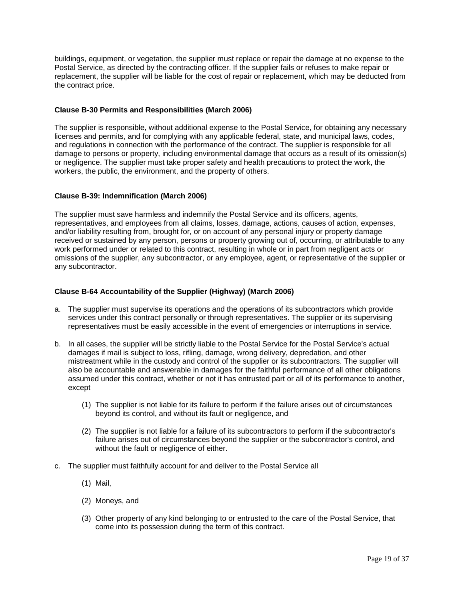buildings, equipment, or vegetation, the supplier must replace or repair the damage at no expense to the Postal Service, as directed by the contracting officer. If the supplier fails or refuses to make repair or replacement, the supplier will be liable for the cost of repair or replacement, which may be deducted from the contract price.

#### <span id="page-18-0"></span>**Clause B-30 Permits and Responsibilities (March 2006)**

The supplier is responsible, without additional expense to the Postal Service, for obtaining any necessary licenses and permits, and for complying with any applicable federal, state, and municipal laws, codes, and regulations in connection with the performance of the contract. The supplier is responsible for all damage to persons or property, including environmental damage that occurs as a result of its omission(s) or negligence. The supplier must take proper safety and health precautions to protect the work, the workers, the public, the environment, and the property of others.

## <span id="page-18-1"></span>**[Clause B-39: Indemnification \(March](http://blue.usps.gov/policy/clauses/clauses.htm) 2006)**

The supplier must save harmless and indemnify the Postal Service and its officers, agents, representatives, and employees from all claims, losses, damage, actions, causes of action, expenses, and/or liability resulting from, brought for, or on account of any personal injury or property damage received or sustained by any person, persons or property growing out of, occurring, or attributable to any work performed under or related to this contract, resulting in whole or in part from negligent acts or omissions of the supplier, any subcontractor, or any employee, agent, or representative of the supplier or any subcontractor.

## <span id="page-18-2"></span>**Clause B-64 Accountability of the Supplier (Highway) (March 2006)**

- a. The supplier must supervise its operations and the operations of its subcontractors which provide services under this contract personally or through representatives. The supplier or its supervising representatives must be easily accessible in the event of emergencies or interruptions in service.
- b. In all cases, the supplier will be strictly liable to the Postal Service for the Postal Service's actual damages if mail is subject to loss, rifling, damage, wrong delivery, depredation, and other mistreatment while in the custody and control of the supplier or its subcontractors. The supplier will also be accountable and answerable in damages for the faithful performance of all other obligations assumed under this contract, whether or not it has entrusted part or all of its performance to another, except
	- (1) The supplier is not liable for its failure to perform if the failure arises out of circumstances beyond its control, and without its fault or negligence, and
	- (2) The supplier is not liable for a failure of its subcontractors to perform if the subcontractor's failure arises out of circumstances beyond the supplier or the subcontractor's control, and without the fault or negligence of either.
- c. The supplier must faithfully account for and deliver to the Postal Service all
	- (1) Mail,
	- (2) Moneys, and
	- (3) Other property of any kind belonging to or entrusted to the care of the Postal Service, that come into its possession during the term of this contract.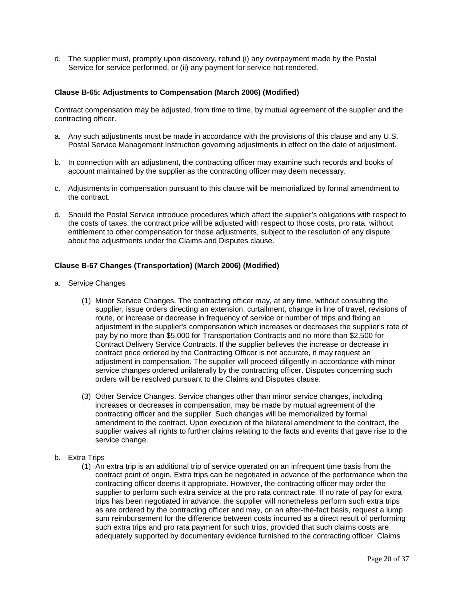d. The supplier must, promptly upon discovery, refund (i) any overpayment made by the Postal Service for service performed, or (ii) any payment for service not rendered.

#### <span id="page-19-0"></span>**Clause B-65: Adjustments to Compensation (March 2006) (Modified)**

Contract compensation may be adjusted, from time to time, by mutual agreement of the supplier and the contracting officer.

- a. Any such adjustments must be made in accordance with the provisions of this clause and any U.S. Postal Service Management Instruction governing adjustments in effect on the date of adjustment.
- b. In connection with an adjustment, the contracting officer may examine such records and books of account maintained by the supplier as the contracting officer may deem necessary.
- c. Adjustments in compensation pursuant to this clause will be memorialized by formal amendment to the contract.
- d. Should the Postal Service introduce procedures which affect the supplier's obligations with respect to the costs of taxes, the contract price will be adjusted with respect to those costs, pro rata, without entitlement to other compensation for those adjustments, subject to the resolution of any dispute about the adjustments under the Claims and Disputes clause.

## <span id="page-19-1"></span>**Clause B-67 Changes (Transportation) (March 2006) (Modified)**

- a. Service Changes
	- (1) Minor Service Changes. The contracting officer may, at any time, without consulting the supplier, issue orders directing an extension, curtailment, change in line of travel, revisions of route, or increase or decrease in frequency of service or number of trips and fixing an adjustment in the supplier's compensation which increases or decreases the supplier's rate of pay by no more than \$5,000 for Transportation Contracts and no more than \$2,500 for Contract Delivery Service Contracts. If the supplier believes the increase or decrease in contract price ordered by the Contracting Officer is not accurate, it may request an adjustment in compensation. The supplier will proceed diligently in accordance with minor service changes ordered unilaterally by the contracting officer. Disputes concerning such orders will be resolved pursuant to the Claims and Disputes clause.
	- (3) Other Service Changes. Service changes other than minor service changes, including increases or decreases in compensation, may be made by mutual agreement of the contracting officer and the supplier. Such changes will be memorialized by formal amendment to the contract. Upon execution of the bilateral amendment to the contract, the supplier waives all rights to further claims relating to the facts and events that gave rise to the service change.
- b. Extra Trips
	- (1) An extra trip is an additional trip of service operated on an infrequent time basis from the contract point of origin. Extra trips can be negotiated in advance of the performance when the contracting officer deems it appropriate. However, the contracting officer may order the supplier to perform such extra service at the pro rata contract rate. If no rate of pay for extra trips has been negotiated in advance, the supplier will nonetheless perform such extra trips as are ordered by the contracting officer and may, on an after-the-fact basis, request a lump sum reimbursement for the difference between costs incurred as a direct result of performing such extra trips and pro rata payment for such trips, provided that such claims costs are adequately supported by documentary evidence furnished to the contracting officer. Claims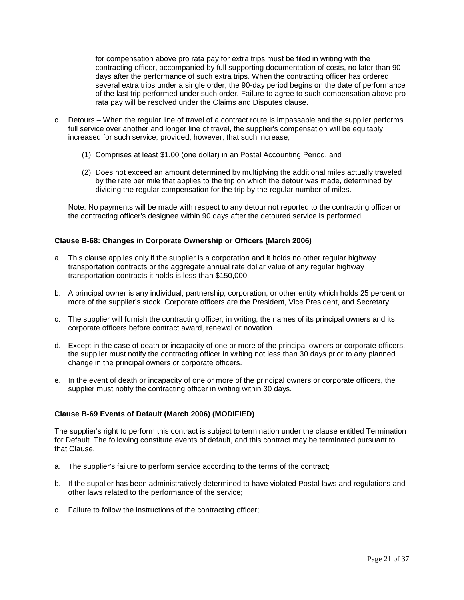for compensation above pro rata pay for extra trips must be filed in writing with the contracting officer, accompanied by full supporting documentation of costs, no later than 90 days after the performance of such extra trips. When the contracting officer has ordered several extra trips under a single order, the 90-day period begins on the date of performance of the last trip performed under such order. Failure to agree to such compensation above pro rata pay will be resolved under the Claims and Disputes clause.

- c. Detours When the regular line of travel of a contract route is impassable and the supplier performs full service over another and longer line of travel, the supplier's compensation will be equitably increased for such service; provided, however, that such increase;
	- (1) Comprises at least \$1.00 (one dollar) in an Postal Accounting Period, and
	- (2) Does not exceed an amount determined by multiplying the additional miles actually traveled by the rate per mile that applies to the trip on which the detour was made, determined by dividing the regular compensation for the trip by the regular number of miles.

Note: No payments will be made with respect to any detour not reported to the contracting officer or the contracting officer's designee within 90 days after the detoured service is performed.

## <span id="page-20-0"></span>**Clause B-68: Changes in Corporate Ownership or Officers (March 2006)**

- a. This clause applies only if the supplier is a corporation and it holds no other regular highway transportation contracts or the aggregate annual rate dollar value of any regular highway transportation contracts it holds is less than \$150,000.
- b. A principal owner is any individual, partnership, corporation, or other entity which holds 25 percent or more of the supplier's stock. Corporate officers are the President, Vice President, and Secretary.
- c. The supplier will furnish the contracting officer, in writing, the names of its principal owners and its corporate officers before contract award, renewal or novation.
- d. Except in the case of death or incapacity of one or more of the principal owners or corporate officers, the supplier must notify the contracting officer in writing not less than 30 days prior to any planned change in the principal owners or corporate officers.
- e. In the event of death or incapacity of one or more of the principal owners or corporate officers, the supplier must notify the contracting officer in writing within 30 days.

#### <span id="page-20-1"></span>**Clause B-69 Events of Default (March 2006) (MODIFIED)**

The supplier's right to perform this contract is subject to termination under the clause entitled Termination for Default. The following constitute events of default, and this contract may be terminated pursuant to that Clause.

- a. The supplier's failure to perform service according to the terms of the contract;
- b. If the supplier has been administratively determined to have violated Postal laws and regulations and other laws related to the performance of the service;
- c. Failure to follow the instructions of the contracting officer;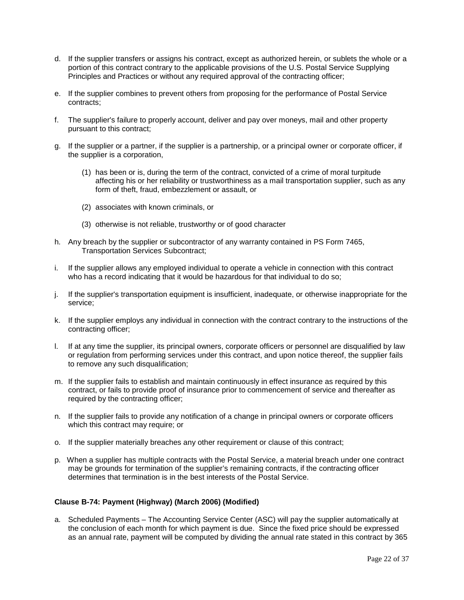- d. If the supplier transfers or assigns his contract, except as authorized herein, or sublets the whole or a portion of this contract contrary to the applicable provisions of the U.S. Postal Service Supplying Principles and Practices or without any required approval of the contracting officer;
- e. If the supplier combines to prevent others from proposing for the performance of Postal Service contracts;
- f. The supplier's failure to properly account, deliver and pay over moneys, mail and other property pursuant to this contract;
- g. If the supplier or a partner, if the supplier is a partnership, or a principal owner or corporate officer, if the supplier is a corporation,
	- (1) has been or is, during the term of the contract, convicted of a crime of moral turpitude affecting his or her reliability or trustworthiness as a mail transportation supplier, such as any form of theft, fraud, embezzlement or assault, or
	- (2) associates with known criminals, or
	- (3) otherwise is not reliable, trustworthy or of good character
- h. Any breach by the supplier or subcontractor of any warranty contained in PS Form 7465, Transportation Services Subcontract;
- i. If the supplier allows any employed individual to operate a vehicle in connection with this contract who has a record indicating that it would be hazardous for that individual to do so;
- j. If the supplier's transportation equipment is insufficient, inadequate, or otherwise inappropriate for the service;
- k. If the supplier employs any individual in connection with the contract contrary to the instructions of the contracting officer;
- l. If at any time the supplier, its principal owners, corporate officers or personnel are disqualified by law or regulation from performing services under this contract, and upon notice thereof, the supplier fails to remove any such disqualification;
- m. If the supplier fails to establish and maintain continuously in effect insurance as required by this contract, or fails to provide proof of insurance prior to commencement of service and thereafter as required by the contracting officer;
- n. If the supplier fails to provide any notification of a change in principal owners or corporate officers which this contract may require; or
- o. If the supplier materially breaches any other requirement or clause of this contract;
- p. When a supplier has multiple contracts with the Postal Service, a material breach under one contract may be grounds for termination of the supplier's remaining contracts, if the contracting officer determines that termination is in the best interests of the Postal Service.

#### <span id="page-21-0"></span>**Clause B-74: Payment (Highway) (March 2006) (Modified)**

a. Scheduled Payments – The Accounting Service Center (ASC) will pay the supplier automatically at the conclusion of each month for which payment is due. Since the fixed price should be expressed as an annual rate, payment will be computed by dividing the annual rate stated in this contract by 365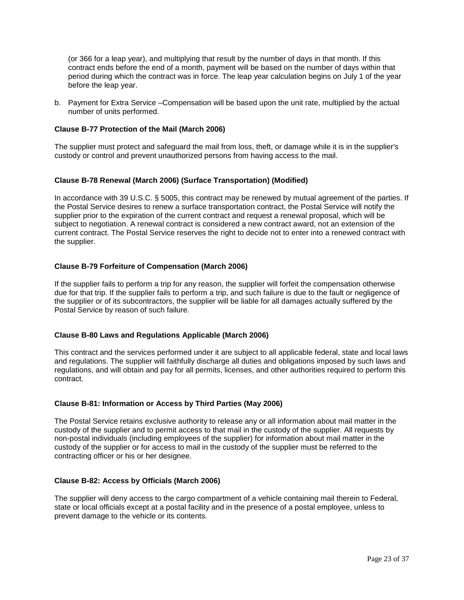(or 366 for a leap year), and multiplying that result by the number of days in that month. If this contract ends before the end of a month, payment will be based on the number of days within that period during which the contract was in force. The leap year calculation begins on July 1 of the year before the leap year.

b. Payment for Extra Service –Compensation will be based upon the unit rate, multiplied by the actual number of units performed.

#### <span id="page-22-0"></span>**Clause B-77 Protection of the Mail (March 2006)**

The supplier must protect and safeguard the mail from loss, theft, or damage while it is in the supplier's custody or control and prevent unauthorized persons from having access to the mail.

#### <span id="page-22-1"></span>**Clause B-78 Renewal (March 2006) (Surface Transportation) (Modified)**

In accordance with 39 U.S.C. § 5005, this contract may be renewed by mutual agreement of the parties. If the Postal Service desires to renew a surface transportation contract, the Postal Service will notify the supplier prior to the expiration of the current contract and request a renewal proposal, which will be subject to negotiation. A renewal contract is considered a new contract award, not an extension of the current contract. The Postal Service reserves the right to decide not to enter into a renewed contract with the supplier.

#### <span id="page-22-2"></span>**Clause B-79 Forfeiture of Compensation (March 2006)**

If the supplier fails to perform a trip for any reason, the supplier will forfeit the compensation otherwise due for that trip. If the supplier fails to perform a trip, and such failure is due to the fault or negligence of the supplier or of its subcontractors, the supplier will be liable for all damages actually suffered by the Postal Service by reason of such failure.

#### <span id="page-22-3"></span>**Clause B-80 Laws and Regulations Applicable (March 2006)**

This contract and the services performed under it are subject to all applicable federal, state and local laws and regulations. The supplier will faithfully discharge all duties and obligations imposed by such laws and regulations, and will obtain and pay for all permits, licenses, and other authorities required to perform this contract.

#### <span id="page-22-4"></span>**Clause B-81: Information or Access by Third Parties (May 2006)**

The Postal Service retains exclusive authority to release any or all information about mail matter in the custody of the supplier and to permit access to that mail in the custody of the supplier. All requests by non-postal individuals (including employees of the supplier) for information about mail matter in the custody of the supplier or for access to mail in the custody of the supplier must be referred to the contracting officer or his or her designee.

#### <span id="page-22-5"></span>**Clause B-82: Access by Officials (March 2006)**

The supplier will deny access to the cargo compartment of a vehicle containing mail therein to Federal, state or local officials except at a postal facility and in the presence of a postal employee, unless to prevent damage to the vehicle or its contents.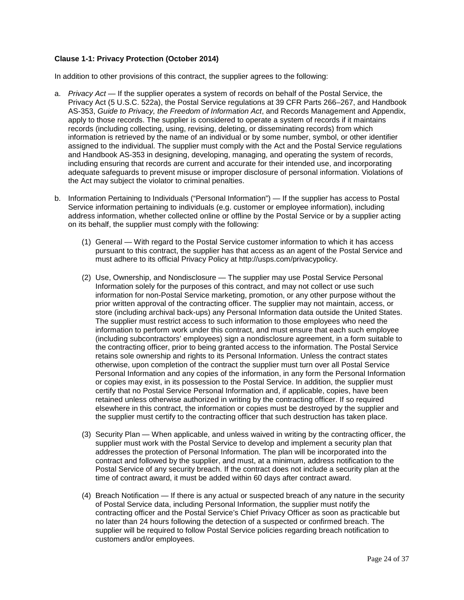## <span id="page-23-0"></span>**Clause 1-1: Privacy Protection (October 2014)**

In addition to other provisions of this contract, the supplier agrees to the following:

- a. *Privacy Act* If the supplier operates a system of records on behalf of the Postal Service, the Privacy Act (5 U.S.C. 522a), the Postal Service regulations at 39 CFR Parts 266–267, and Handbook AS-353, *Guide to Privacy, the Freedom of Information Act*, and Records Management and Appendix, apply to those records. The supplier is considered to operate a system of records if it maintains records (including collecting, using, revising, deleting, or disseminating records) from which information is retrieved by the name of an individual or by some number, symbol, or other identifier assigned to the individual. The supplier must comply with the Act and the Postal Service regulations and Handbook AS-353 in designing, developing, managing, and operating the system of records, including ensuring that records are current and accurate for their intended use, and incorporating adequate safeguards to prevent misuse or improper disclosure of personal information. Violations of the Act may subject the violator to criminal penalties.
- b. Information Pertaining to Individuals ("Personal Information") If the supplier has access to Postal Service information pertaining to individuals (e.g. customer or employee information), including address information, whether collected online or offline by the Postal Service or by a supplier acting on its behalf, the supplier must comply with the following:
	- (1) General With regard to the Postal Service customer information to which it has access pursuant to this contract, the supplier has that access as an agent of the Postal Service and must adhere to its official Privacy Policy at [http://usps.com/privacypolicy.](http://usps.com/privacypolicy)
	- (2) Use, Ownership, and Nondisclosure The supplier may use Postal Service Personal Information solely for the purposes of this contract, and may not collect or use such information for non-Postal Service marketing, promotion, or any other purpose without the prior written approval of the contracting officer. The supplier may not maintain, access, or store (including archival back-ups) any Personal Information data outside the United States. The supplier must restrict access to such information to those employees who need the information to perform work under this contract, and must ensure that each such employee (including subcontractors' employees) sign a nondisclosure agreement, in a form suitable to the contracting officer, prior to being granted access to the information. The Postal Service retains sole ownership and rights to its Personal Information. Unless the contract states otherwise, upon completion of the contract the supplier must turn over all Postal Service Personal Information and any copies of the information, in any form the Personal Information or copies may exist, in its possession to the Postal Service. In addition, the supplier must certify that no Postal Service Personal Information and, if applicable, copies, have been retained unless otherwise authorized in writing by the contracting officer. If so required elsewhere in this contract, the information or copies must be destroyed by the supplier and the supplier must certify to the contracting officer that such destruction has taken place.
	- (3) Security Plan When applicable, and unless waived in writing by the contracting officer, the supplier must work with the Postal Service to develop and implement a security plan that addresses the protection of Personal Information. The plan will be incorporated into the contract and followed by the supplier, and must, at a minimum, address notification to the Postal Service of any security breach. If the contract does not include a security plan at the time of contract award, it must be added within 60 days after contract award.
	- (4) Breach Notification If there is any actual or suspected breach of any nature in the security of Postal Service data, including Personal Information, the supplier must notify the contracting officer and the Postal Service's Chief Privacy Officer as soon as practicable but no later than 24 hours following the detection of a suspected or confirmed breach. The supplier will be required to follow Postal Service policies regarding breach notification to customers and/or employees.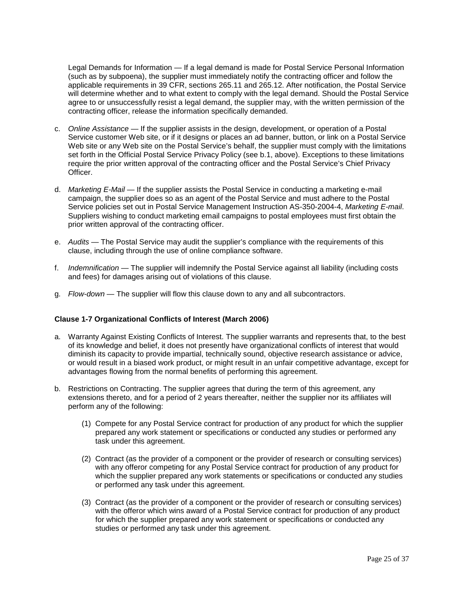Legal Demands for Information — If a legal demand is made for Postal Service Personal Information (such as by subpoena), the supplier must immediately notify the contracting officer and follow the applicable requirements in 39 CFR, sections 265.11 and 265.12. After notification, the Postal Service will determine whether and to what extent to comply with the legal demand. Should the Postal Service agree to or unsuccessfully resist a legal demand, the supplier may, with the written permission of the contracting officer, release the information specifically demanded.

- c. *Online Assistance* If the supplier assists in the design, development, or operation of a Postal Service customer Web site, or if it designs or places an ad banner, button, or link on a Postal Service Web site or any Web site on the Postal Service's behalf, the supplier must comply with the limitations set forth in the Official Postal Service Privacy Policy (see b.1, above). Exceptions to these limitations require the prior written approval of the contracting officer and the Postal Service's Chief Privacy Officer.
- d. *Marketing E-Mail* If the supplier assists the Postal Service in conducting a marketing e-mail campaign, the supplier does so as an agent of the Postal Service and must adhere to the Postal Service policies set out in Postal Service Management Instruction AS-350-2004-4, *Marketing E-mail*. Suppliers wishing to conduct marketing email campaigns to postal employees must first obtain the prior written approval of the contracting officer.
- e. *Audits* The Postal Service may audit the supplier's compliance with the requirements of this clause, including through the use of online compliance software.
- f. *Indemnification* The supplier will indemnify the Postal Service against all liability (including costs and fees) for damages arising out of violations of this clause.
- g. *Flow-down* The supplier will flow this clause down to any and all subcontractors.

#### <span id="page-24-0"></span>**Clause 1-7 Organizational Conflicts of Interest (March 2006)**

- a. Warranty Against Existing Conflicts of Interest. The supplier warrants and represents that, to the best of its knowledge and belief, it does not presently have organizational conflicts of interest that would diminish its capacity to provide impartial, technically sound, objective research assistance or advice, or would result in a biased work product, or might result in an unfair competitive advantage, except for advantages flowing from the normal benefits of performing this agreement.
- b. Restrictions on Contracting. The supplier agrees that during the term of this agreement, any extensions thereto, and for a period of 2 years thereafter, neither the supplier nor its affiliates will perform any of the following:
	- (1) Compete for any Postal Service contract for production of any product for which the supplier prepared any work statement or specifications or conducted any studies or performed any task under this agreement.
	- (2) Contract (as the provider of a component or the provider of research or consulting services) with any offeror competing for any Postal Service contract for production of any product for which the supplier prepared any work statements or specifications or conducted any studies or performed any task under this agreement.
	- (3) Contract (as the provider of a component or the provider of research or consulting services) with the offeror which wins award of a Postal Service contract for production of any product for which the supplier prepared any work statement or specifications or conducted any studies or performed any task under this agreement.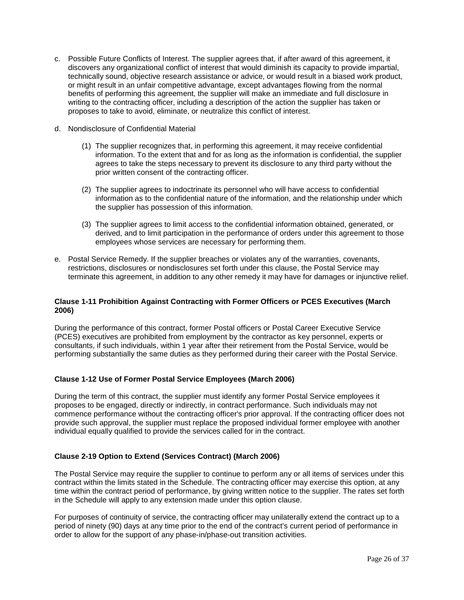- c. Possible Future Conflicts of Interest. The supplier agrees that, if after award of this agreement, it discovers any organizational conflict of interest that would diminish its capacity to provide impartial, technically sound, objective research assistance or advice, or would result in a biased work product, or might result in an unfair competitive advantage, except advantages flowing from the normal benefits of performing this agreement, the supplier will make an immediate and full disclosure in writing to the contracting officer, including a description of the action the supplier has taken or proposes to take to avoid, eliminate, or neutralize this conflict of interest.
- d. Nondisclosure of Confidential Material
	- (1) The supplier recognizes that, in performing this agreement, it may receive confidential information. To the extent that and for as long as the information is confidential, the supplier agrees to take the steps necessary to prevent its disclosure to any third party without the prior written consent of the contracting officer.
	- (2) The supplier agrees to indoctrinate its personnel who will have access to confidential information as to the confidential nature of the information, and the relationship under which the supplier has possession of this information.
	- (3) The supplier agrees to limit access to the confidential information obtained, generated, or derived, and to limit participation in the performance of orders under this agreement to those employees whose services are necessary for performing them.
- e. Postal Service Remedy. If the supplier breaches or violates any of the warranties, covenants, restrictions, disclosures or nondisclosures set forth under this clause, the Postal Service may terminate this agreement, in addition to any other remedy it may have for damages or injunctive relief.

## <span id="page-25-0"></span>**Clause 1-11 Prohibition Against Contracting with Former Officers or PCES Executives (March 2006)**

During the performance of this contract, former Postal officers or Postal Career Executive Service (PCES) executives are prohibited from employment by the contractor as key personnel, experts or consultants, if such individuals, within 1 year after their retirement from the Postal Service, would be performing substantially the same duties as they performed during their career with the Postal Service.

## <span id="page-25-1"></span>**Clause 1-12 Use of Former Postal Service Employees (March 2006)**

During the term of this contract, the supplier must identify any former Postal Service employees it proposes to be engaged, directly or indirectly, in contract performance. Such individuals may not commence performance without the contracting officer's prior approval. If the contracting officer does not provide such approval, the supplier must replace the proposed individual former employee with another individual equally qualified to provide the services called for in the contract.

## <span id="page-25-2"></span>**Clause 2-19 Option to Extend (Services Contract) (March 2006)**

The Postal Service may require the supplier to continue to perform any or all items of services under this contract within the limits stated in the Schedule. The contracting officer may exercise this option, at any time within the contract period of performance, by giving written notice to the supplier. The rates set forth in the Schedule will apply to any extension made under this option clause.

For purposes of continuity of service, the contracting officer may unilaterally extend the contract up to a period of ninety (90) days at any time prior to the end of the contract's current period of performance in order to allow for the support of any phase-in/phase-out transition activities.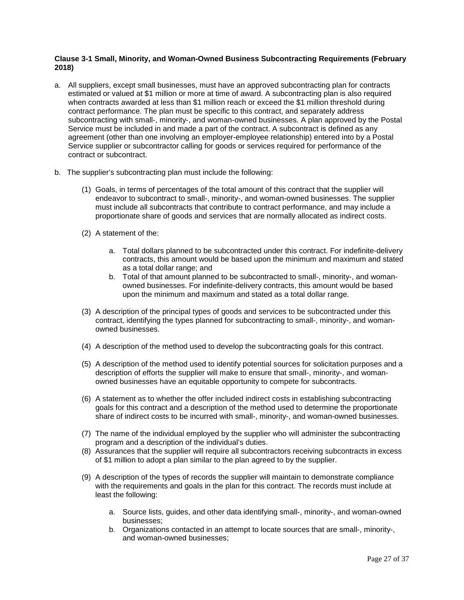## <span id="page-26-0"></span>**Clause 3-1 Small, Minority, and Woman-Owned Business Subcontracting Requirements (February 2018)**

- a. All suppliers, except small businesses, must have an approved subcontracting plan for contracts estimated or valued at \$1 million or more at time of award. A subcontracting plan is also required when contracts awarded at less than \$1 million reach or exceed the \$1 million threshold during contract performance. The plan must be specific to this contract, and separately address subcontracting with small-, minority-, and woman-owned businesses. A plan approved by the Postal Service must be included in and made a part of the contract. A subcontract is defined as any agreement (other than one involving an employer-employee relationship) entered into by a Postal Service supplier or subcontractor calling for goods or services required for performance of the contract or subcontract.
- b. The supplier's subcontracting plan must include the following:
	- (1) Goals, in terms of percentages of the total amount of this contract that the supplier will endeavor to subcontract to small-, minority-, and woman-owned businesses. The supplier must include all subcontracts that contribute to contract performance, and may include a proportionate share of goods and services that are normally allocated as indirect costs.
	- (2) A statement of the:
		- a. Total dollars planned to be subcontracted under this contract. For indefinite-delivery contracts, this amount would be based upon the minimum and maximum and stated as a total dollar range; and
		- b. Total of that amount planned to be subcontracted to small-, minority-, and womanowned businesses. For indefinite-delivery contracts, this amount would be based upon the minimum and maximum and stated as a total dollar range.
	- (3) A description of the principal types of goods and services to be subcontracted under this contract, identifying the types planned for subcontracting to small-, minority-, and womanowned businesses.
	- (4) A description of the method used to develop the subcontracting goals for this contract.
	- (5) A description of the method used to identify potential sources for solicitation purposes and a description of efforts the supplier will make to ensure that small-, minority-, and womanowned businesses have an equitable opportunity to compete for subcontracts.
	- (6) A statement as to whether the offer included indirect costs in establishing subcontracting goals for this contract and a description of the method used to determine the proportionate share of indirect costs to be incurred with small-, minority-, and woman-owned businesses.
	- (7) The name of the individual employed by the supplier who will administer the subcontracting program and a description of the individual's duties.
	- (8) Assurances that the supplier will require all subcontractors receiving subcontracts in excess of \$1 million to adopt a plan similar to the plan agreed to by the supplier.
	- (9) A description of the types of records the supplier will maintain to demonstrate compliance with the requirements and goals in the plan for this contract. The records must include at least the following:
		- a. Source lists, guides, and other data identifying small-, minority-, and woman-owned businesses;
		- b. Organizations contacted in an attempt to locate sources that are small-, minority-, and woman-owned businesses;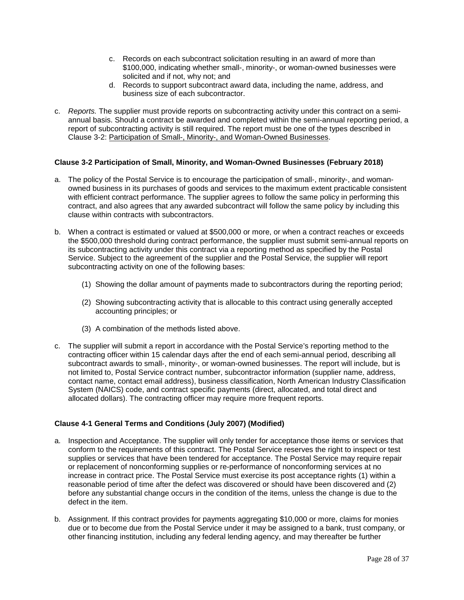- c. Records on each subcontract solicitation resulting in an award of more than \$100,000, indicating whether small-, minority-, or woman-owned businesses were solicited and if not, why not; and
- d. Records to support subcontract award data, including the name, address, and business size of each subcontractor.
- c. *Reports.* The supplier must provide reports on subcontracting activity under this contract on a semiannual basis. Should a contract be awarded and completed within the semi-annual reporting period, a report of subcontracting activity is still required. The report must be one of the types described in Clause 3-2: Participation of Small-, Minority-, and Woman-Owned Businesses.

## <span id="page-27-0"></span>**Clause 3-2 Participation of Small, Minority, and Woman-Owned Businesses (February 2018)**

- a. The policy of the Postal Service is to encourage the participation of small-, minority-, and womanowned business in its purchases of goods and services to the maximum extent practicable consistent with efficient contract performance. The supplier agrees to follow the same policy in performing this contract, and also agrees that any awarded subcontract will follow the same policy by including this clause within contracts with subcontractors.
- b. When a contract is estimated or valued at \$500,000 or more, or when a contract reaches or exceeds the \$500,000 threshold during contract performance, the supplier must submit semi-annual reports on its subcontracting activity under this contract via a reporting method as specified by the Postal Service. Subject to the agreement of the supplier and the Postal Service, the supplier will report subcontracting activity on one of the following bases:
	- (1) Showing the dollar amount of payments made to subcontractors during the reporting period;
	- (2) Showing subcontracting activity that is allocable to this contract using generally accepted accounting principles; or
	- (3) A combination of the methods listed above.
- c. The supplier will submit a report in accordance with the Postal Service's reporting method to the contracting officer within 15 calendar days after the end of each semi-annual period, describing all subcontract awards to small-, minority-, or woman-owned businesses. The report will include, but is not limited to, Postal Service contract number, subcontractor information (supplier name, address, contact name, contact email address), business classification, North American Industry Classification System (NAICS) code, and contract specific payments (direct, allocated, and total direct and allocated dollars). The contracting officer may require more frequent reports.

## <span id="page-27-1"></span>**Clause 4-1 General Terms and Conditions (July 2007) (Modified)**

- a. Inspection and Acceptance. The supplier will only tender for acceptance those items or services that conform to the requirements of this contract. The Postal Service reserves the right to inspect or test supplies or services that have been tendered for acceptance. The Postal Service may require repair or replacement of nonconforming supplies or re-performance of nonconforming services at no increase in contract price. The Postal Service must exercise its post acceptance rights (1) within a reasonable period of time after the defect was discovered or should have been discovered and (2) before any substantial change occurs in the condition of the items, unless the change is due to the defect in the item.
- b. Assignment. If this contract provides for payments aggregating \$10,000 or more, claims for monies due or to become due from the Postal Service under it may be assigned to a bank, trust company, or other financing institution, including any federal lending agency, and may thereafter be further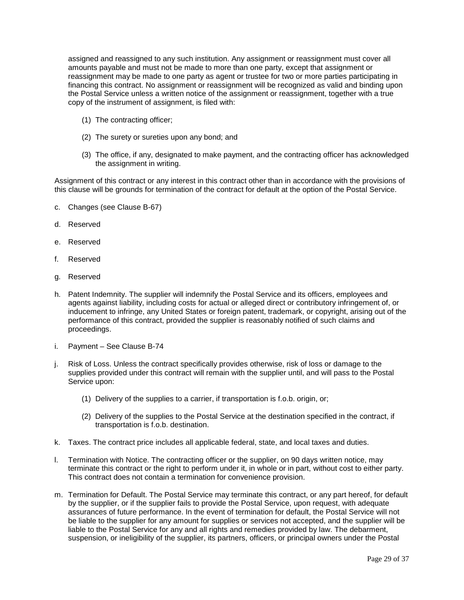assigned and reassigned to any such institution. Any assignment or reassignment must cover all amounts payable and must not be made to more than one party, except that assignment or reassignment may be made to one party as agent or trustee for two or more parties participating in financing this contract. No assignment or reassignment will be recognized as valid and binding upon the Postal Service unless a written notice of the assignment or reassignment, together with a true copy of the instrument of assignment, is filed with:

- (1) The contracting officer;
- (2) The surety or sureties upon any bond; and
- (3) The office, if any, designated to make payment, and the contracting officer has acknowledged the assignment in writing.

Assignment of this contract or any interest in this contract other than in accordance with the provisions of this clause will be grounds for termination of the contract for default at the option of the Postal Service.

- c. Changes (see Clause B-67)
- d. Reserved
- e. Reserved
- f. Reserved
- g. Reserved
- h. Patent Indemnity. The supplier will indemnify the Postal Service and its officers, employees and agents against liability, including costs for actual or alleged direct or contributory infringement of, or inducement to infringe, any United States or foreign patent, trademark, or copyright, arising out of the performance of this contract, provided the supplier is reasonably notified of such claims and proceedings.
- i. Payment See Clause B-74
- j. Risk of Loss. Unless the contract specifically provides otherwise, risk of loss or damage to the supplies provided under this contract will remain with the supplier until, and will pass to the Postal Service upon:
	- (1) Delivery of the supplies to a carrier, if transportation is f.o.b. origin, or;
	- (2) Delivery of the supplies to the Postal Service at the destination specified in the contract, if transportation is f.o.b. destination.
- k. Taxes. The contract price includes all applicable federal, state, and local taxes and duties.
- l. Termination with Notice. The contracting officer or the supplier, on 90 days written notice, may terminate this contract or the right to perform under it, in whole or in part, without cost to either party. This contract does not contain a termination for convenience provision.
- m. Termination for Default. The Postal Service may terminate this contract, or any part hereof, for default by the supplier, or if the supplier fails to provide the Postal Service, upon request, with adequate assurances of future performance. In the event of termination for default, the Postal Service will not be liable to the supplier for any amount for supplies or services not accepted, and the supplier will be liable to the Postal Service for any and all rights and remedies provided by law. The debarment, suspension, or ineligibility of the supplier, its partners, officers, or principal owners under the Postal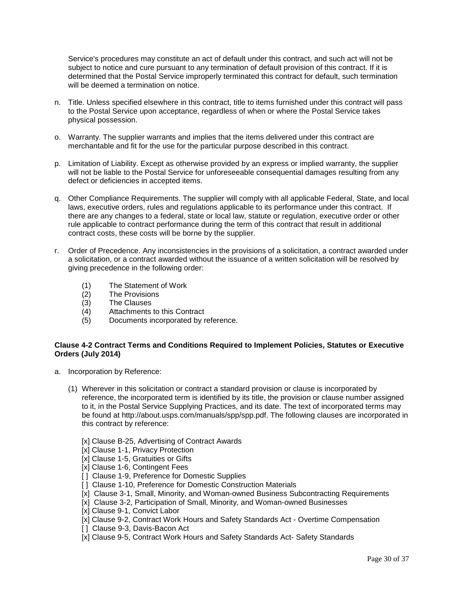Service's procedures may constitute an act of default under this contract, and such act will not be subject to notice and cure pursuant to any termination of default provision of this contract. If it is determined that the Postal Service improperly terminated this contract for default, such termination will be deemed a termination on notice.

- n. Title. Unless specified elsewhere in this contract, title to items furnished under this contract will pass to the Postal Service upon acceptance, regardless of when or where the Postal Service takes physical possession.
- o. Warranty. The supplier warrants and implies that the items delivered under this contract are merchantable and fit for the use for the particular purpose described in this contract.
- p. Limitation of Liability. Except as otherwise provided by an express or implied warranty, the supplier will not be liable to the Postal Service for unforeseeable consequential damages resulting from any defect or deficiencies in accepted items.
- q. Other Compliance Requirements. The supplier will comply with all applicable Federal, State, and local laws, executive orders, rules and regulations applicable to its performance under this contract. If there are any changes to a federal, state or local law, statute or regulation, executive order or other rule applicable to contract performance during the term of this contract that result in additional contract costs, these costs will be borne by the supplier.
- r. Order of Precedence. Any inconsistencies in the provisions of a solicitation, a contract awarded under a solicitation, or a contract awarded without the issuance of a written solicitation will be resolved by giving precedence in the following order:
	- (1) The Statement of Work
	- (2) The Provisions
	- (3) The Clauses
	- (4) Attachments to this Contract<br>(5) Documents incorporated by re
	- Documents incorporated by reference.

## <span id="page-29-0"></span>**Clause 4-2 Contract Terms and Conditions Required to Implement Policies, Statutes or Executive Orders (July 2014)**

- a. Incorporation by Reference:
	- (1) Wherever in this solicitation or contract a standard provision or clause is incorporated by reference, the incorporated term is identified by its title, the provision or clause number assigned to it, in the Postal Service Supplying Practices, and its date. The text of incorporated terms may be found at http://about.usps.com/manuals/spp/spp.pdf. The following clauses are incorporated in this contract by reference:
		- [x] Clause B-25, Advertising of Contract Awards
		- [x] Clause 1-1, Privacy Protection
		- [x] Clause 1-5, Gratuities or Gifts
		- [x] Clause 1-6, Contingent Fees
		- [1] Clause 1-9, Preference for Domestic Supplies
		- [ ] Clause 1-10, Preference for Domestic Construction Materials
		- [x] Clause 3-1, Small, Minority, and Woman-owned Business Subcontracting Requirements
		- [x] Clause 3-2, Participation of Small, Minority, and Woman-owned Businesses
		- [x] Clause 9-1, Convict Labor
		- [x] Clause 9-2, Contract Work Hours and Safety Standards Act Overtime Compensation
		- [] Clause 9-3, Davis-Bacon Act
		- [x] Clause 9-5, Contract Work Hours and Safety Standards Act- Safety Standards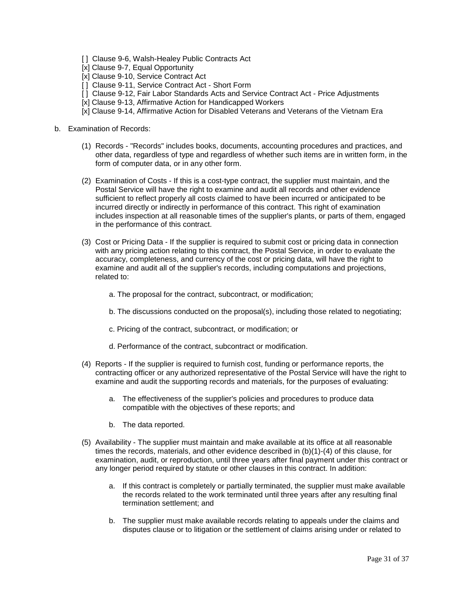- [1] Clause 9-6, Walsh-Healey Public Contracts Act
- [x] Clause 9-7, Equal Opportunity
- [x] Clause 9-10, Service Contract Act
- [1] Clause 9-11, Service Contract Act Short Form
- [ ] Clause 9-12, Fair Labor Standards Acts and Service Contract Act Price Adjustments
- [x] Clause 9-13, Affirmative Action for Handicapped Workers
- [x] Clause 9-14, Affirmative Action for Disabled Veterans and Veterans of the Vietnam Era
- b. Examination of Records:
	- (1) Records "Records" includes books, documents, accounting procedures and practices, and other data, regardless of type and regardless of whether such items are in written form, in the form of computer data, or in any other form.
	- (2) Examination of Costs If this is a cost-type contract, the supplier must maintain, and the Postal Service will have the right to examine and audit all records and other evidence sufficient to reflect properly all costs claimed to have been incurred or anticipated to be incurred directly or indirectly in performance of this contract. This right of examination includes inspection at all reasonable times of the supplier's plants, or parts of them, engaged in the performance of this contract.
	- (3) Cost or Pricing Data If the supplier is required to submit cost or pricing data in connection with any pricing action relating to this contract, the Postal Service, in order to evaluate the accuracy, completeness, and currency of the cost or pricing data, will have the right to examine and audit all of the supplier's records, including computations and projections, related to:
		- a. The proposal for the contract, subcontract, or modification;
		- b. The discussions conducted on the proposal(s), including those related to negotiating;
		- c. Pricing of the contract, subcontract, or modification; or
		- d. Performance of the contract, subcontract or modification.
	- (4) Reports If the supplier is required to furnish cost, funding or performance reports, the contracting officer or any authorized representative of the Postal Service will have the right to examine and audit the supporting records and materials, for the purposes of evaluating:
		- a. The effectiveness of the supplier's policies and procedures to produce data compatible with the objectives of these reports; and
		- b. The data reported.
	- (5) Availability The supplier must maintain and make available at its office at all reasonable times the records, materials, and other evidence described in (b)(1)-(4) of this clause, for examination, audit, or reproduction, until three years after final payment under this contract or any longer period required by statute or other clauses in this contract. In addition:
		- a. If this contract is completely or partially terminated, the supplier must make available the records related to the work terminated until three years after any resulting final termination settlement; and
		- b. The supplier must make available records relating to appeals under the claims and disputes clause or to litigation or the settlement of claims arising under or related to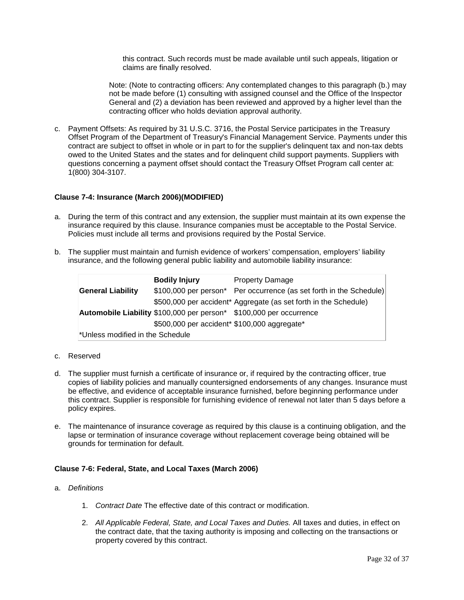this contract. Such records must be made available until such appeals, litigation or claims are finally resolved.

Note: (Note to contracting officers: Any contemplated changes to this paragraph (b.) may not be made before (1) consulting with assigned counsel and the Office of the Inspector General and (2) a deviation has been reviewed and approved by a higher level than the contracting officer who holds deviation approval authority.

c. Payment Offsets: As required by 31 U.S.C. 3716, the Postal Service participates in the Treasury Offset Program of the Department of Treasury's Financial Management Service. Payments under this contract are subject to offset in whole or in part to for the supplier's delinquent tax and non-tax debts owed to the United States and the states and for delinquent child support payments. Suppliers with questions concerning a payment offset should contact the Treasury Offset Program call center at: 1(800) 304-3107.

#### <span id="page-31-0"></span>**Clause 7-4: Insurance (March 2006)(MODIFIED)**

- a. During the term of this contract and any extension, the supplier must maintain at its own expense the insurance required by this clause. Insurance companies must be acceptable to the Postal Service. Policies must include all terms and provisions required by the Postal Service.
- b. The supplier must maintain and furnish evidence of workers' compensation, employers' liability insurance, and the following general public liability and automobile liability insurance:

|                                  | <b>Bodily Injury</b>                         | <b>Property Damage</b>                                              |
|----------------------------------|----------------------------------------------|---------------------------------------------------------------------|
| <b>General Liability</b>         |                                              | \$100,000 per person* Per occurrence (as set forth in the Schedule) |
|                                  |                                              | \$500,000 per accident* Aggregate (as set forth in the Schedule)    |
|                                  |                                              | Automobile Liability \$100,000 per person* \$100,000 per occurrence |
|                                  | \$500,000 per accident* \$100,000 aggregate* |                                                                     |
| *Unless modified in the Schedule |                                              |                                                                     |

#### c. Reserved

- d. The supplier must furnish a certificate of insurance or, if required by the contracting officer, true copies of liability policies and manually countersigned endorsements of any changes. Insurance must be effective, and evidence of acceptable insurance furnished, before beginning performance under this contract. Supplier is responsible for furnishing evidence of renewal not later than 5 days before a policy expires.
- e. The maintenance of insurance coverage as required by this clause is a continuing obligation, and the lapse or termination of insurance coverage without replacement coverage being obtained will be grounds for termination for default.

#### <span id="page-31-1"></span>**Clause 7-6: Federal, State, and Local Taxes (March 2006)**

- a. *Definitions*
	- 1. *Contract Date* The effective date of this contract or modification.
	- 2. *All Applicable Federal, State, and Local Taxes and Duties.* All taxes and duties, in effect on the contract date, that the taxing authority is imposing and collecting on the transactions or property covered by this contract.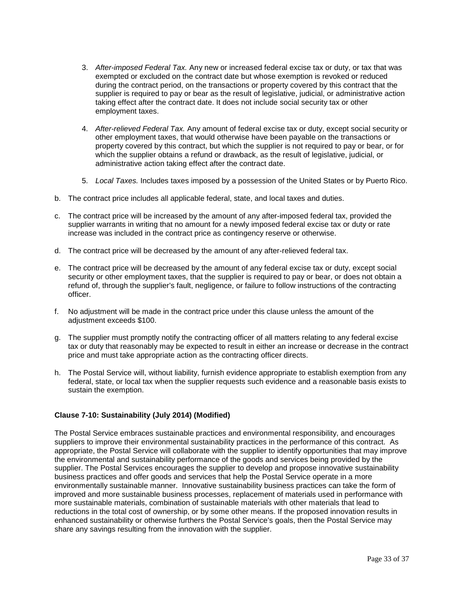- 3. *After-imposed Federal Tax.* Any new or increased federal excise tax or duty, or tax that was exempted or excluded on the contract date but whose exemption is revoked or reduced during the contract period, on the transactions or property covered by this contract that the supplier is required to pay or bear as the result of legislative, judicial, or administrative action taking effect after the contract date. It does not include social security tax or other employment taxes.
- 4. *After-relieved Federal Tax.* Any amount of federal excise tax or duty, except social security or other employment taxes, that would otherwise have been payable on the transactions or property covered by this contract, but which the supplier is not required to pay or bear, or for which the supplier obtains a refund or drawback, as the result of legislative, judicial, or administrative action taking effect after the contract date.
- 5. *Local Taxes.* Includes taxes imposed by a possession of the United States or by Puerto Rico.
- b. The contract price includes all applicable federal, state, and local taxes and duties.
- c. The contract price will be increased by the amount of any after-imposed federal tax, provided the supplier warrants in writing that no amount for a newly imposed federal excise tax or duty or rate increase was included in the contract price as contingency reserve or otherwise.
- d. The contract price will be decreased by the amount of any after-relieved federal tax.
- e. The contract price will be decreased by the amount of any federal excise tax or duty, except social security or other employment taxes, that the supplier is required to pay or bear, or does not obtain a refund of, through the supplier's fault, negligence, or failure to follow instructions of the contracting officer.
- f. No adjustment will be made in the contract price under this clause unless the amount of the adjustment exceeds \$100.
- g. The supplier must promptly notify the contracting officer of all matters relating to any federal excise tax or duty that reasonably may be expected to result in either an increase or decrease in the contract price and must take appropriate action as the contracting officer directs.
- h. The Postal Service will, without liability, furnish evidence appropriate to establish exemption from any federal, state, or local tax when the supplier requests such evidence and a reasonable basis exists to sustain the exemption.

## <span id="page-32-0"></span>**Clause 7-10: Sustainability (July 2014) (Modified)**

The Postal Service embraces sustainable practices and environmental responsibility, and encourages suppliers to improve their environmental sustainability practices in the performance of this contract. As appropriate, the Postal Service will collaborate with the supplier to identify opportunities that may improve the environmental and sustainability performance of the goods and services being provided by the supplier. The Postal Services encourages the supplier to develop and propose innovative sustainability business practices and offer goods and services that help the Postal Service operate in a more environmentally sustainable manner. Innovative sustainability business practices can take the form of improved and more sustainable business processes, replacement of materials used in performance with more sustainable materials, combination of sustainable materials with other materials that lead to reductions in the total cost of ownership, or by some other means. If the proposed innovation results in enhanced sustainability or otherwise furthers the Postal Service's goals, then the Postal Service may share any savings resulting from the innovation with the supplier.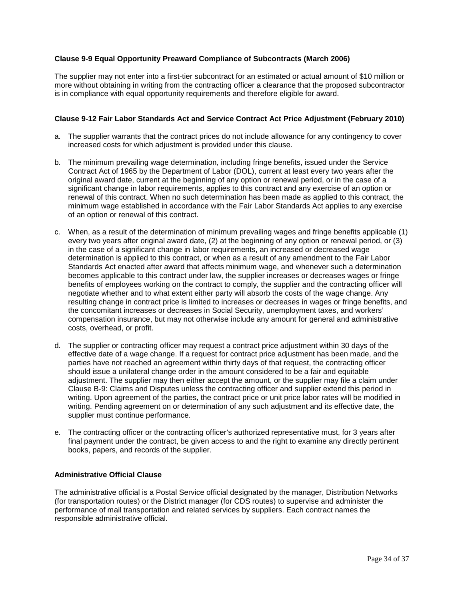## <span id="page-33-0"></span>**Clause 9-9 Equal Opportunity Preaward Compliance of Subcontracts (March 2006)**

The supplier may not enter into a first-tier subcontract for an estimated or actual amount of \$10 million or more without obtaining in writing from the contracting officer a clearance that the proposed subcontractor is in compliance with equal opportunity requirements and therefore eligible for award.

#### <span id="page-33-1"></span>**Clause 9-12 Fair Labor Standards Act and Service Contract Act Price Adjustment (February 2010)**

- a. The supplier warrants that the contract prices do not include allowance for any contingency to cover increased costs for which adjustment is provided under this clause.
- b. The minimum prevailing wage determination, including fringe benefits, issued under the Service Contract Act of 1965 by the Department of Labor (DOL), current at least every two years after the original award date, current at the beginning of any option or renewal period, or in the case of a significant change in labor requirements, applies to this contract and any exercise of an option or renewal of this contract. When no such determination has been made as applied to this contract, the minimum wage established in accordance with the Fair Labor Standards Act applies to any exercise of an option or renewal of this contract.
- c. When, as a result of the determination of minimum prevailing wages and fringe benefits applicable (1) every two years after original award date, (2) at the beginning of any option or renewal period, or (3) in the case of a significant change in labor requirements, an increased or decreased wage determination is applied to this contract, or when as a result of any amendment to the Fair Labor Standards Act enacted after award that affects minimum wage, and whenever such a determination becomes applicable to this contract under law, the supplier increases or decreases wages or fringe benefits of employees working on the contract to comply, the supplier and the contracting officer will negotiate whether and to what extent either party will absorb the costs of the wage change. Any resulting change in contract price is limited to increases or decreases in wages or fringe benefits, and the concomitant increases or decreases in Social Security, unemployment taxes, and workers' compensation insurance, but may not otherwise include any amount for general and administrative costs, overhead, or profit.
- d. The supplier or contracting officer may request a contract price adjustment within 30 days of the effective date of a wage change. If a request for contract price adjustment has been made, and the parties have not reached an agreement within thirty days of that request, the contracting officer should issue a unilateral change order in the amount considered to be a fair and equitable adjustment. The supplier may then either accept the amount, or the supplier may file a claim under Clause B-9: Claims and Disputes unless the contracting officer and supplier extend this period in writing. Upon agreement of the parties, the contract price or unit price labor rates will be modified in writing. Pending agreement on or determination of any such adjustment and its effective date, the supplier must continue performance.
- e. The contracting officer or the contracting officer's authorized representative must, for 3 years after final payment under the contract, be given access to and the right to examine any directly pertinent books, papers, and records of the supplier.

## <span id="page-33-2"></span>**Administrative Official Clause**

The administrative official is a Postal Service official designated by the manager, Distribution Networks (for transportation routes) or the District manager (for CDS routes) to supervise and administer the performance of mail transportation and related services by suppliers. Each contract names the responsible administrative official.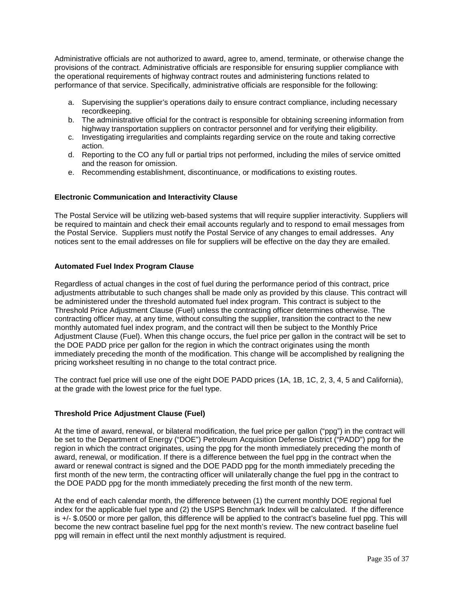Administrative officials are not authorized to award, agree to, amend, terminate, or otherwise change the provisions of the contract. Administrative officials are responsible for ensuring supplier compliance with the operational requirements of highway contract routes and administering functions related to performance of that service. Specifically, administrative officials are responsible for the following:

- a. Supervising the supplier's operations daily to ensure contract compliance, including necessary recordkeeping.
- b. The administrative official for the contract is responsible for obtaining screening information from highway transportation suppliers on contractor personnel and for verifying their eligibility.
- c. Investigating irregularities and complaints regarding service on the route and taking corrective action.
- d. Reporting to the CO any full or partial trips not performed, including the miles of service omitted and the reason for omission.
- e. Recommending establishment, discontinuance, or modifications to existing routes.

## <span id="page-34-0"></span>**Electronic Communication and Interactivity Clause**

The Postal Service will be utilizing web-based systems that will require supplier interactivity. Suppliers will be required to maintain and check their email accounts regularly and to respond to email messages from the Postal Service. Suppliers must notify the Postal Service of any changes to email addresses. Any notices sent to the email addresses on file for suppliers will be effective on the day they are emailed.

## <span id="page-34-1"></span>**Automated Fuel Index Program Clause**

Regardless of actual changes in the cost of fuel during the performance period of this contract, price adjustments attributable to such changes shall be made only as provided by this clause. This contract will be administered under the threshold automated fuel index program. This contract is subject to the Threshold Price Adjustment Clause (Fuel) unless the contracting officer determines otherwise. The contracting officer may, at any time, without consulting the supplier, transition the contract to the new monthly automated fuel index program, and the contract will then be subject to the Monthly Price Adjustment Clause (Fuel). When this change occurs, the fuel price per gallon in the contract will be set to the DOE PADD price per gallon for the region in which the contract originates using the month immediately preceding the month of the modification. This change will be accomplished by realigning the pricing worksheet resulting in no change to the total contract price.

The contract fuel price will use one of the eight DOE PADD prices (1A, 1B, 1C, 2, 3, 4, 5 and California), at the grade with the lowest price for the fuel type.

#### <span id="page-34-2"></span>**Threshold Price Adjustment Clause (Fuel)**

At the time of award, renewal, or bilateral modification, the fuel price per gallon ("ppg") in the contract will be set to the Department of Energy ("DOE") Petroleum Acquisition Defense District ("PADD") ppg for the region in which the contract originates, using the ppg for the month immediately preceding the month of award, renewal, or modification. If there is a difference between the fuel ppg in the contract when the award or renewal contract is signed and the DOE PADD ppg for the month immediately preceding the first month of the new term, the contracting officer will unilaterally change the fuel ppg in the contract to the DOE PADD ppg for the month immediately preceding the first month of the new term.

At the end of each calendar month, the difference between (1) the current monthly DOE regional fuel index for the applicable fuel type and (2) the USPS Benchmark Index will be calculated. If the difference is +/- \$.0500 or more per gallon, this difference will be applied to the contract's baseline fuel ppg. This will become the new contract baseline fuel ppg for the next month's review. The new contract baseline fuel ppg will remain in effect until the next monthly adjustment is required.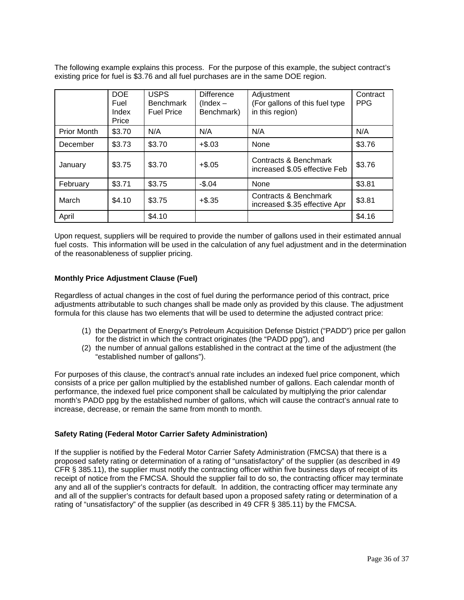The following example explains this process. For the purpose of this example, the subject contract's existing price for fuel is \$3.76 and all fuel purchases are in the same DOE region.

|                    | <b>DOE</b><br>Fuel<br>Index<br>Price | <b>USPS</b><br><b>Benchmark</b><br><b>Fuel Price</b> | <b>Difference</b><br>$(Index -$<br>Benchmark) | Adjustment<br>(For gallons of this fuel type<br>in this region) | Contract<br><b>PPG</b> |
|--------------------|--------------------------------------|------------------------------------------------------|-----------------------------------------------|-----------------------------------------------------------------|------------------------|
| <b>Prior Month</b> | \$3.70                               | N/A                                                  | N/A                                           | N/A                                                             | N/A                    |
| December           | \$3.73                               | \$3.70                                               | $+$ \$.03                                     | None                                                            | \$3.76                 |
| January            | \$3.75                               | \$3.70                                               | $+$.05$                                       | Contracts & Benchmark<br>increased \$.05 effective Feb          | \$3.76                 |
| February           | \$3.71                               | \$3.75                                               | $-$.04$                                       | None                                                            | \$3.81                 |
| March              | \$4.10                               | \$3.75                                               | $+$ \$.35                                     | Contracts & Benchmark<br>increased \$.35 effective Apr          | \$3.81                 |
| April              |                                      | \$4.10                                               |                                               |                                                                 | \$4.16                 |

Upon request, suppliers will be required to provide the number of gallons used in their estimated annual fuel costs. This information will be used in the calculation of any fuel adjustment and in the determination of the reasonableness of supplier pricing.

## <span id="page-35-0"></span>**Monthly Price Adjustment Clause (Fuel)**

Regardless of actual changes in the cost of fuel during the performance period of this contract, price adjustments attributable to such changes shall be made only as provided by this clause. The adjustment formula for this clause has two elements that will be used to determine the adjusted contract price:

- (1) the Department of Energy's Petroleum Acquisition Defense District ("PADD") price per gallon for the district in which the contract originates (the "PADD ppg"), and
- (2) the number of annual gallons established in the contract at the time of the adjustment (the "established number of gallons").

For purposes of this clause, the contract's annual rate includes an indexed fuel price component, which consists of a price per gallon multiplied by the established number of gallons. Each calendar month of performance, the indexed fuel price component shall be calculated by multiplying the prior calendar month's PADD ppg by the established number of gallons, which will cause the contract's annual rate to increase, decrease, or remain the same from month to month.

#### <span id="page-35-1"></span>**Safety Rating (Federal Motor Carrier Safety Administration)**

If the supplier is notified by the Federal Motor Carrier Safety Administration (FMCSA) that there is a proposed safety rating or determination of a rating of "unsatisfactory" of the supplier (as described in 49 CFR § 385.11), the supplier must notify the contracting officer within five business days of receipt of its receipt of notice from the FMCSA. Should the supplier fail to do so, the contracting officer may terminate any and all of the supplier's contracts for default. In addition, the contracting officer may terminate any and all of the supplier's contracts for default based upon a proposed safety rating or determination of a rating of "unsatisfactory" of the supplier (as described in 49 CFR § 385.11) by the FMCSA.